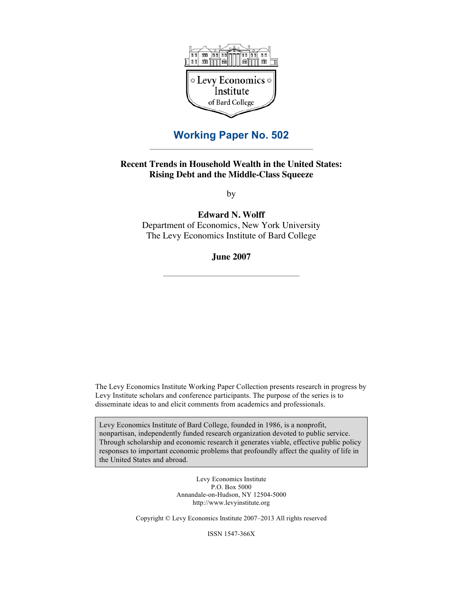

# **Working Paper No. 502**

## **Recent Trends in Household Wealth in the United States: Rising Debt and the Middle-Class Squeeze**

by

**Edward N. Wolff** Department of Economics, New York University

The Levy Economics Institute of Bard College

**June 2007**

The Levy Economics Institute Working Paper Collection presents research in progress by Levy Institute scholars and conference participants. The purpose of the series is to disseminate ideas to and elicit comments from academics and professionals.

Levy Economics Institute of Bard College, founded in 1986, is a nonprofit, nonpartisan, independently funded research organization devoted to public service. Through scholarship and economic research it generates viable, effective public policy responses to important economic problems that profoundly affect the quality of life in the United States and abroad.

> Levy Economics Institute P.O. Box 5000 Annandale-on-Hudson, NY 12504-5000 http://www.levyinstitute.org

Copyright © Levy Economics Institute 2007–2013 All rights reserved

ISSN 1547-366X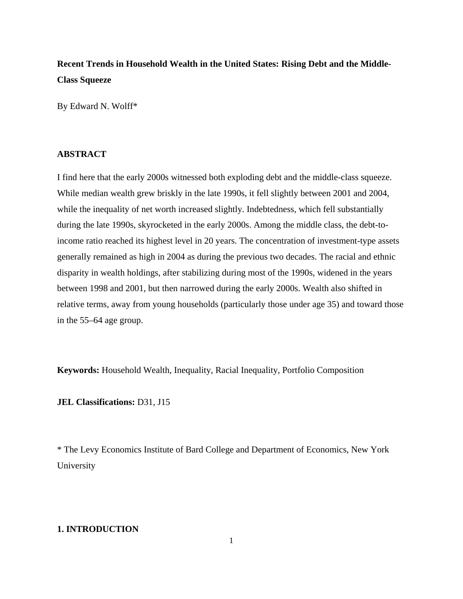# **Recent Trends in Household Wealth in the United States: Rising Debt and the Middle-Class Squeeze**

By Edward N. Wolff\*

### **ABSTRACT**

I find here that the early 2000s witnessed both exploding debt and the middle-class squeeze. While median wealth grew briskly in the late 1990s, it fell slightly between 2001 and 2004, while the inequality of net worth increased slightly. Indebtedness, which fell substantially during the late 1990s, skyrocketed in the early 2000s. Among the middle class, the debt-toincome ratio reached its highest level in 20 years. The concentration of investment-type assets generally remained as high in 2004 as during the previous two decades. The racial and ethnic disparity in wealth holdings, after stabilizing during most of the 1990s, widened in the years between 1998 and 2001, but then narrowed during the early 2000s. Wealth also shifted in relative terms, away from young households (particularly those under age 35) and toward those in the 55–64 age group.

**Keywords:** Household Wealth, Inequality, Racial Inequality, Portfolio Composition

#### **JEL Classifications:** D31, J15

\* The Levy Economics Institute of Bard College and Department of Economics, New York University

## **1. INTRODUCTION**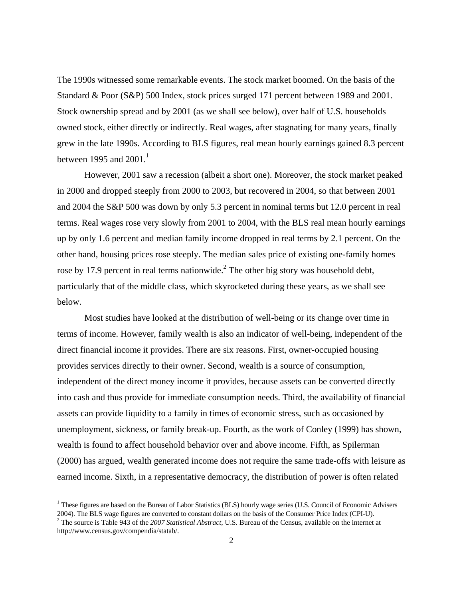The 1990s witnessed some remarkable events. The stock market boomed. On the basis of the Standard & Poor (S&P) 500 Index, stock prices surged 171 percent between 1989 and 2001. Stock ownership spread and by 2001 (as we shall see below), over half of U.S. households owned stock, either directly or indirectly. Real wages, after stagnating for many years, finally grew in the late 1990s. According to BLS figures, real mean hourly earnings gained 8.3 percent between 1995 and 2001. $^1$ 

 However, 2001 saw a recession (albeit a short one). Moreover, the stock market peaked in 2000 and dropped steeply from 2000 to 2003, but recovered in 2004, so that between 2001 and 2004 the S&P 500 was down by only 5.3 percent in nominal terms but 12.0 percent in real terms. Real wages rose very slowly from 2001 to 2004, with the BLS real mean hourly earnings up by only 1.6 percent and median family income dropped in real terms by 2.1 percent. On the other hand, housing prices rose steeply. The median sales price of existing one-family homes rose by 17.9 percent in real terms nationwide.<sup>2</sup> The other big story was household debt, particularly that of the middle class, which skyrocketed during these years, as we shall see below.

Most studies have looked at the distribution of well-being or its change over time in terms of income. However, family wealth is also an indicator of well-being, independent of the direct financial income it provides. There are six reasons. First, owner-occupied housing provides services directly to their owner. Second, wealth is a source of consumption, independent of the direct money income it provides, because assets can be converted directly into cash and thus provide for immediate consumption needs. Third, the availability of financial assets can provide liquidity to a family in times of economic stress, such as occasioned by unemployment, sickness, or family break-up. Fourth, as the work of Conley (1999) has shown, wealth is found to affect household behavior over and above income. Fifth, as Spilerman (2000) has argued, wealth generated income does not require the same trade-offs with leisure as earned income. Sixth, in a representative democracy, the distribution of power is often related

i<br>I

<sup>&</sup>lt;sup>1</sup> These figures are based on the Bureau of Labor Statistics (BLS) hourly wage series (U.S. Council of Economic Advisers 2004). The BLS wage figures are converted to constant dollars on the basis of the Consumer Price Index (CPI-U). 2

<sup>&</sup>lt;sup>2</sup> The source is Table 943 of the *2007 Statistical Abstract*, U.S. Bureau of the Census, available on the internet at http://www.census.gov/compendia/statab/.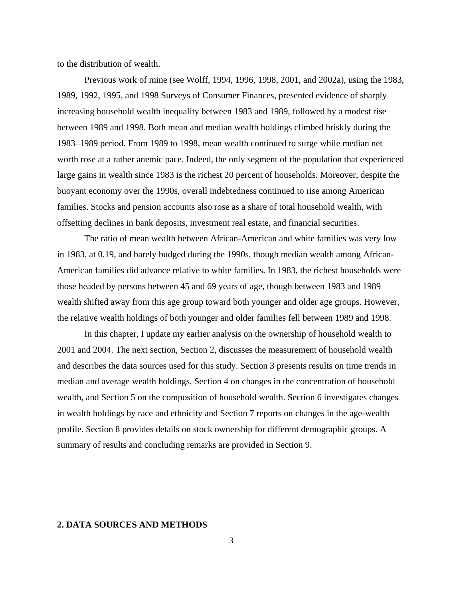to the distribution of wealth.

 Previous work of mine (see Wolff, 1994, 1996, 1998, 2001, and 2002a), using the 1983, 1989, 1992, 1995, and 1998 Surveys of Consumer Finances, presented evidence of sharply increasing household wealth inequality between 1983 and 1989, followed by a modest rise between 1989 and 1998. Both mean and median wealth holdings climbed briskly during the 1983–1989 period. From 1989 to 1998, mean wealth continued to surge while median net worth rose at a rather anemic pace. Indeed, the only segment of the population that experienced large gains in wealth since 1983 is the richest 20 percent of households. Moreover, despite the buoyant economy over the 1990s, overall indebtedness continued to rise among American families. Stocks and pension accounts also rose as a share of total household wealth, with offsetting declines in bank deposits, investment real estate, and financial securities.

The ratio of mean wealth between African-American and white families was very low in 1983, at 0.19, and barely budged during the 1990s, though median wealth among African-American families did advance relative to white families. In 1983, the richest households were those headed by persons between 45 and 69 years of age, though between 1983 and 1989 wealth shifted away from this age group toward both younger and older age groups. However, the relative wealth holdings of both younger and older families fell between 1989 and 1998.

In this chapter, I update my earlier analysis on the ownership of household wealth to 2001 and 2004. The next section, Section 2, discusses the measurement of household wealth and describes the data sources used for this study. Section 3 presents results on time trends in median and average wealth holdings, Section 4 on changes in the concentration of household wealth, and Section 5 on the composition of household wealth. Section 6 investigates changes in wealth holdings by race and ethnicity and Section 7 reports on changes in the age-wealth profile. Section 8 provides details on stock ownership for different demographic groups. A summary of results and concluding remarks are provided in Section 9.

## **2. DATA SOURCES AND METHODS**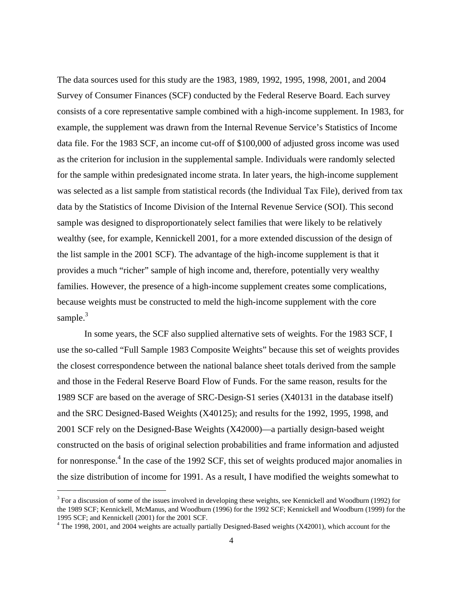The data sources used for this study are the 1983, 1989, 1992, 1995, 1998, 2001, and 2004 Survey of Consumer Finances (SCF) conducted by the Federal Reserve Board. Each survey consists of a core representative sample combined with a high-income supplement. In 1983, for example, the supplement was drawn from the Internal Revenue Service's Statistics of Income data file. For the 1983 SCF, an income cut-off of \$100,000 of adjusted gross income was used as the criterion for inclusion in the supplemental sample. Individuals were randomly selected for the sample within predesignated income strata. In later years, the high-income supplement was selected as a list sample from statistical records (the Individual Tax File), derived from tax data by the Statistics of Income Division of the Internal Revenue Service (SOI). This second sample was designed to disproportionately select families that were likely to be relatively wealthy (see, for example, Kennickell 2001, for a more extended discussion of the design of the list sample in the 2001 SCF). The advantage of the high-income supplement is that it provides a much "richer" sample of high income and, therefore, potentially very wealthy families. However, the presence of a high-income supplement creates some complications, because weights must be constructed to meld the high-income supplement with the core sample. $3$ 

 In some years, the SCF also supplied alternative sets of weights. For the 1983 SCF, I use the so-called "Full Sample 1983 Composite Weights" because this set of weights provides the closest correspondence between the national balance sheet totals derived from the sample and those in the Federal Reserve Board Flow of Funds. For the same reason, results for the 1989 SCF are based on the average of SRC-Design-S1 series (X40131 in the database itself) and the SRC Designed-Based Weights (X40125); and results for the 1992, 1995, 1998, and 2001 SCF rely on the Designed-Base Weights (X42000)—a partially design-based weight constructed on the basis of original selection probabilities and frame information and adjusted for nonresponse.<sup>4</sup> In the case of the 1992 SCF, this set of weights produced major anomalies in the size distribution of income for 1991. As a result, I have modified the weights somewhat to

<sup>&</sup>lt;sup>3</sup> For a discussion of some of the issues involved in developing these weights, see Kennickell and Woodburn (1992) for the 1989 SCF; Kennickell, McManus, and Woodburn (1996) for the 1992 SCF; Kennickell and Woodburn (1999) for the 1995 SCF; and Kennickell (2001) for the 2001 SCF.

 $4$  The 1998, 2001, and 2004 weights are actually partially Designed-Based weights (X42001), which account for the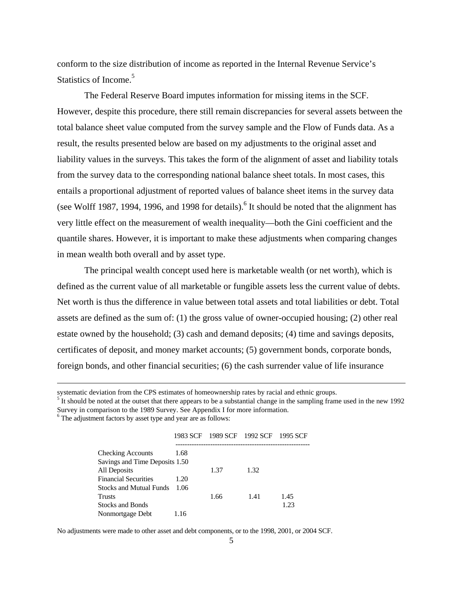conform to the size distribution of income as reported in the Internal Revenue Service's Statistics of Income.<sup>5</sup>

 The Federal Reserve Board imputes information for missing items in the SCF. However, despite this procedure, there still remain discrepancies for several assets between the total balance sheet value computed from the survey sample and the Flow of Funds data. As a result, the results presented below are based on my adjustments to the original asset and liability values in the surveys. This takes the form of the alignment of asset and liability totals from the survey data to the corresponding national balance sheet totals. In most cases, this entails a proportional adjustment of reported values of balance sheet items in the survey data (see Wolff 1987, 1994, 1996, and 1998 for details). <sup>6</sup> It should be noted that the alignment has very little effect on the measurement of wealth inequality—both the Gini coefficient and the quantile shares. However, it is important to make these adjustments when comparing changes in mean wealth both overall and by asset type.

 The principal wealth concept used here is marketable wealth (or net worth), which is defined as the current value of all marketable or fungible assets less the current value of debts. Net worth is thus the difference in value between total assets and total liabilities or debt. Total assets are defined as the sum of: (1) the gross value of owner-occupied housing; (2) other real estate owned by the household; (3) cash and demand deposits; (4) time and savings deposits, certificates of deposit, and money market accounts; (5) government bonds, corporate bonds, foreign bonds, and other financial securities; (6) the cash surrender value of life insurance

<sup>6</sup> The adjustment factors by asset type and year are as follows:

i

|  | 1983 SCF 1989 SCF 1992 SCF 1995 SCF |  |
|--|-------------------------------------|--|
|  |                                     |  |

| <b>Checking Accounts</b>       | 1.68 |      |      |      |
|--------------------------------|------|------|------|------|
| Savings and Time Deposits 1.50 |      |      |      |      |
| All Deposits                   |      | 1.37 | 1.32 |      |
| <b>Financial Securities</b>    | 1.20 |      |      |      |
| <b>Stocks and Mutual Funds</b> | 1.06 |      |      |      |
| Trusts                         |      | 1.66 | 1.41 | 1.45 |
| <b>Stocks and Bonds</b>        |      |      |      | 1.23 |
| Nonmortgage Debt               | 1.16 |      |      |      |

No adjustments were made to other asset and debt components, or to the 1998, 2001, or 2004 SCF.

systematic deviation from the CPS estimates of homeownership rates by racial and ethnic groups.

 $\frac{5}{1}$  It should be noted at the outset that there appears to be a substantial change in the sampling frame used in the new 1992 Survey in comparison to the 1989 Survey. See Appendix I for more information.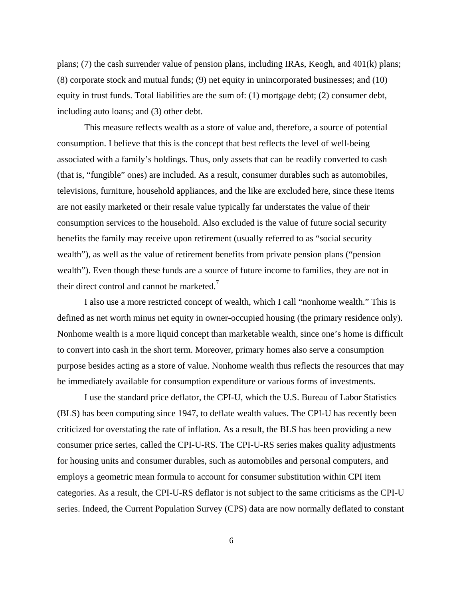plans; (7) the cash surrender value of pension plans, including IRAs, Keogh, and 401(k) plans; (8) corporate stock and mutual funds; (9) net equity in unincorporated businesses; and (10) equity in trust funds. Total liabilities are the sum of: (1) mortgage debt; (2) consumer debt, including auto loans; and (3) other debt.

 This measure reflects wealth as a store of value and, therefore, a source of potential consumption. I believe that this is the concept that best reflects the level of well-being associated with a family's holdings. Thus, only assets that can be readily converted to cash (that is, "fungible" ones) are included. As a result, consumer durables such as automobiles, televisions, furniture, household appliances, and the like are excluded here, since these items are not easily marketed or their resale value typically far understates the value of their consumption services to the household. Also excluded is the value of future social security benefits the family may receive upon retirement (usually referred to as "social security wealth"), as well as the value of retirement benefits from private pension plans ("pension wealth"). Even though these funds are a source of future income to families, they are not in their direct control and cannot be marketed.<sup>7</sup>

I also use a more restricted concept of wealth, which I call "nonhome wealth." This is defined as net worth minus net equity in owner-occupied housing (the primary residence only). Nonhome wealth is a more liquid concept than marketable wealth, since one's home is difficult to convert into cash in the short term. Moreover, primary homes also serve a consumption purpose besides acting as a store of value. Nonhome wealth thus reflects the resources that may be immediately available for consumption expenditure or various forms of investments.

I use the standard price deflator, the CPI-U, which the U.S. Bureau of Labor Statistics (BLS) has been computing since 1947, to deflate wealth values. The CPI-U has recently been criticized for overstating the rate of inflation. As a result, the BLS has been providing a new consumer price series, called the CPI-U-RS. The CPI-U-RS series makes quality adjustments for housing units and consumer durables, such as automobiles and personal computers, and employs a geometric mean formula to account for consumer substitution within CPI item categories. As a result, the CPI-U-RS deflator is not subject to the same criticisms as the CPI-U series. Indeed, the Current Population Survey (CPS) data are now normally deflated to constant

6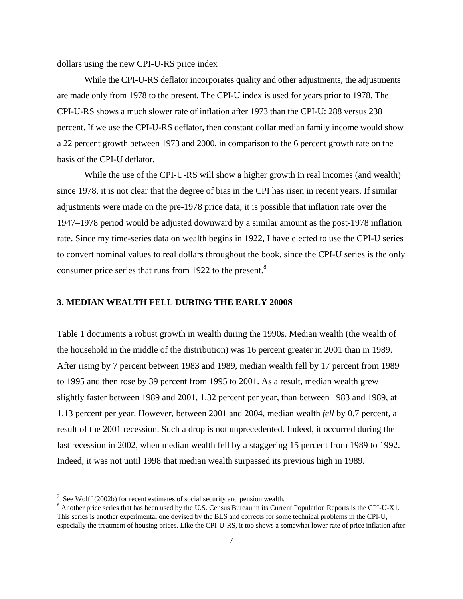dollars using the new CPI-U-RS price index

While the CPI-U-RS deflator incorporates quality and other adjustments, the adjustments are made only from 1978 to the present. The CPI-U index is used for years prior to 1978. The CPI-U-RS shows a much slower rate of inflation after 1973 than the CPI-U: 288 versus 238 percent. If we use the CPI-U-RS deflator, then constant dollar median family income would show a 22 percent growth between 1973 and 2000, in comparison to the 6 percent growth rate on the basis of the CPI-U deflator.

While the use of the CPI-U-RS will show a higher growth in real incomes (and wealth) since 1978, it is not clear that the degree of bias in the CPI has risen in recent years. If similar adjustments were made on the pre-1978 price data, it is possible that inflation rate over the 1947–1978 period would be adjusted downward by a similar amount as the post-1978 inflation rate. Since my time-series data on wealth begins in 1922, I have elected to use the CPI-U series to convert nominal values to real dollars throughout the book, since the CPI-U series is the only consumer price series that runs from 1922 to the present.<sup>8</sup>

#### **3. MEDIAN WEALTH FELL DURING THE EARLY 2000S**

Table 1 documents a robust growth in wealth during the 1990s. Median wealth (the wealth of the household in the middle of the distribution) was 16 percent greater in 2001 than in 1989. After rising by 7 percent between 1983 and 1989, median wealth fell by 17 percent from 1989 to 1995 and then rose by 39 percent from 1995 to 2001. As a result, median wealth grew slightly faster between 1989 and 2001, 1.32 percent per year, than between 1983 and 1989, at 1.13 percent per year. However, between 2001 and 2004, median wealth *fell* by 0.7 percent, a result of the 2001 recession. Such a drop is not unprecedented. Indeed, it occurred during the last recession in 2002, when median wealth fell by a staggering 15 percent from 1989 to 1992. Indeed, it was not until 1998 that median wealth surpassed its previous high in 1989.

i

See Wolff (2002b) for recent estimates of social security and pension wealth.

Another price series that has been used by the U.S. Census Bureau in its Current Population Reports is the CPI-U-X1. This series is another experimental one devised by the BLS and corrects for some technical problems in the CPI-U, especially the treatment of housing prices. Like the CPI-U-RS, it too shows a somewhat lower rate of price inflation after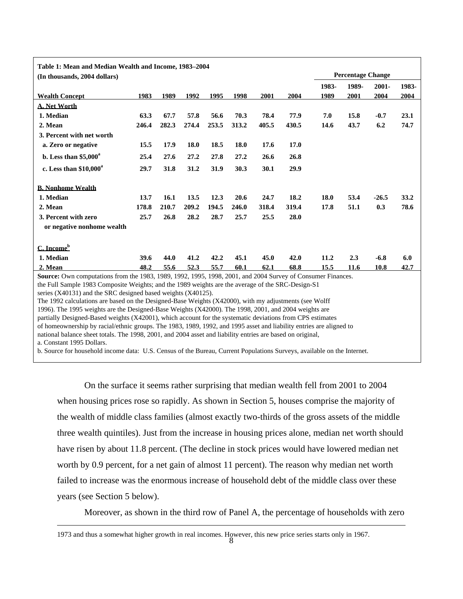| Table 1: Mean and Median Wealth and Income, 1983-2004                                                                                                                                                                                                                                                                                                                                                                                                                                                                                                                                                                                                                                                                                                                                                                                                                                                                                                                                                       |       |       |       |       |       |       |       |       |                          |         |       |
|-------------------------------------------------------------------------------------------------------------------------------------------------------------------------------------------------------------------------------------------------------------------------------------------------------------------------------------------------------------------------------------------------------------------------------------------------------------------------------------------------------------------------------------------------------------------------------------------------------------------------------------------------------------------------------------------------------------------------------------------------------------------------------------------------------------------------------------------------------------------------------------------------------------------------------------------------------------------------------------------------------------|-------|-------|-------|-------|-------|-------|-------|-------|--------------------------|---------|-------|
| (In thousands, 2004 dollars)                                                                                                                                                                                                                                                                                                                                                                                                                                                                                                                                                                                                                                                                                                                                                                                                                                                                                                                                                                                |       |       |       |       |       |       |       |       | <b>Percentage Change</b> |         |       |
|                                                                                                                                                                                                                                                                                                                                                                                                                                                                                                                                                                                                                                                                                                                                                                                                                                                                                                                                                                                                             |       |       |       |       |       |       |       | 1983- | 1989-                    | 2001-   | 1983- |
| <b>Wealth Concept</b>                                                                                                                                                                                                                                                                                                                                                                                                                                                                                                                                                                                                                                                                                                                                                                                                                                                                                                                                                                                       | 1983  | 1989  | 1992  | 1995  | 1998  | 2001  | 2004  | 1989  | 2001                     | 2004    | 2004  |
| <b>A. Net Worth</b>                                                                                                                                                                                                                                                                                                                                                                                                                                                                                                                                                                                                                                                                                                                                                                                                                                                                                                                                                                                         |       |       |       |       |       |       |       |       |                          |         |       |
| 1. Median                                                                                                                                                                                                                                                                                                                                                                                                                                                                                                                                                                                                                                                                                                                                                                                                                                                                                                                                                                                                   | 63.3  | 67.7  | 57.8  | 56.6  | 70.3  | 78.4  | 77.9  | 7.0   | 15.8                     | $-0.7$  | 23.1  |
| 2. Mean                                                                                                                                                                                                                                                                                                                                                                                                                                                                                                                                                                                                                                                                                                                                                                                                                                                                                                                                                                                                     | 246.4 | 282.3 | 274.4 | 253.5 | 313.2 | 405.5 | 430.5 | 14.6  | 43.7                     | 6.2     | 74.7  |
| 3. Percent with net worth                                                                                                                                                                                                                                                                                                                                                                                                                                                                                                                                                                                                                                                                                                                                                                                                                                                                                                                                                                                   |       |       |       |       |       |       |       |       |                          |         |       |
| a. Zero or negative                                                                                                                                                                                                                                                                                                                                                                                                                                                                                                                                                                                                                                                                                                                                                                                                                                                                                                                                                                                         | 15.5  | 17.9  | 18.0  | 18.5  | 18.0  | 17.6  | 17.0  |       |                          |         |       |
| b. Less than $$5,000^a$                                                                                                                                                                                                                                                                                                                                                                                                                                                                                                                                                                                                                                                                                                                                                                                                                                                                                                                                                                                     | 25.4  | 27.6  | 27.2  | 27.8  | 27.2  | 26.6  | 26.8  |       |                          |         |       |
| c. Less than $$10,000^a$                                                                                                                                                                                                                                                                                                                                                                                                                                                                                                                                                                                                                                                                                                                                                                                                                                                                                                                                                                                    | 29.7  | 31.8  | 31.2  | 31.9  | 30.3  | 30.1  | 29.9  |       |                          |         |       |
| <b>B. Nonhome Wealth</b>                                                                                                                                                                                                                                                                                                                                                                                                                                                                                                                                                                                                                                                                                                                                                                                                                                                                                                                                                                                    |       |       |       |       |       |       |       |       |                          |         |       |
| 1. Median                                                                                                                                                                                                                                                                                                                                                                                                                                                                                                                                                                                                                                                                                                                                                                                                                                                                                                                                                                                                   | 13.7  | 16.1  | 13.5  | 12.3  | 20.6  | 24.7  | 18.2  | 18.0  | 53.4                     | $-26.5$ | 33.2  |
| 2. Mean                                                                                                                                                                                                                                                                                                                                                                                                                                                                                                                                                                                                                                                                                                                                                                                                                                                                                                                                                                                                     | 178.8 | 210.7 | 209.2 | 194.5 | 246.0 | 318.4 | 319.4 | 17.8  | 51.1                     | 0.3     | 78.6  |
| 3. Percent with zero                                                                                                                                                                                                                                                                                                                                                                                                                                                                                                                                                                                                                                                                                                                                                                                                                                                                                                                                                                                        | 25.7  | 26.8  | 28.2  | 28.7  | 25.7  | 25.5  | 28.0  |       |                          |         |       |
| or negative nonhome wealth                                                                                                                                                                                                                                                                                                                                                                                                                                                                                                                                                                                                                                                                                                                                                                                                                                                                                                                                                                                  |       |       |       |       |       |       |       |       |                          |         |       |
| $C.$ Income <sup>b</sup>                                                                                                                                                                                                                                                                                                                                                                                                                                                                                                                                                                                                                                                                                                                                                                                                                                                                                                                                                                                    |       |       |       |       |       |       |       |       |                          |         |       |
| 1. Median                                                                                                                                                                                                                                                                                                                                                                                                                                                                                                                                                                                                                                                                                                                                                                                                                                                                                                                                                                                                   | 39.6  | 44.0  | 41.2  | 42.2  | 45.1  | 45.0  | 42.0  | 11.2  | 2.3                      | $-6.8$  | 6.0   |
| 2. Mean                                                                                                                                                                                                                                                                                                                                                                                                                                                                                                                                                                                                                                                                                                                                                                                                                                                                                                                                                                                                     | 48.2  | 55.6  | 52.3  | 55.7  | 60.1  | 62.1  | 68.8  | 15.5  | 11.6                     | 10.8    | 42.7  |
| Source: Own computations from the 1983, 1989, 1992, 1995, 1998, 2001, and 2004 Survey of Consumer Finances.<br>the Full Sample 1983 Composite Weights; and the 1989 weights are the average of the SRC-Design-S1<br>series (X40131) and the SRC designed based weights (X40125).<br>The 1992 calculations are based on the Designed-Base Weights (X42000), with my adjustments (see Wolff<br>1996). The 1995 weights are the Designed-Base Weights (X42000). The 1998, 2001, and 2004 weights are<br>partially Designed-Based weights (X42001), which account for the systematic deviations from CPS estimates<br>of homeownership by racial/ethnic groups. The 1983, 1989, 1992, and 1995 asset and liability entries are aligned to<br>national balance sheet totals. The 1998, 2001, and 2004 asset and liability entries are based on original,<br>a. Constant 1995 Dollars.<br>b. Source for household income data: U.S. Census of the Bureau, Current Populations Surveys, available on the Internet. |       |       |       |       |       |       |       |       |                          |         |       |

 On the surface it seems rather surprising that median wealth fell from 2001 to 2004 when housing prices rose so rapidly. As shown in Section 5, houses comprise the majority of the wealth of middle class families (almost exactly two-thirds of the gross assets of the middle three wealth quintiles). Just from the increase in housing prices alone, median net worth should have risen by about 11.8 percent. (The decline in stock prices would have lowered median net worth by 0.9 percent, for a net gain of almost 11 percent). The reason why median net worth failed to increase was the enormous increase of household debt of the middle class over these years (see Section 5 below).

Moreover, as shown in the third row of Panel A, the percentage of households with zero

1973 and thus a somewhat higher growth in real incomes. However, this new price series starts only in 1967.

i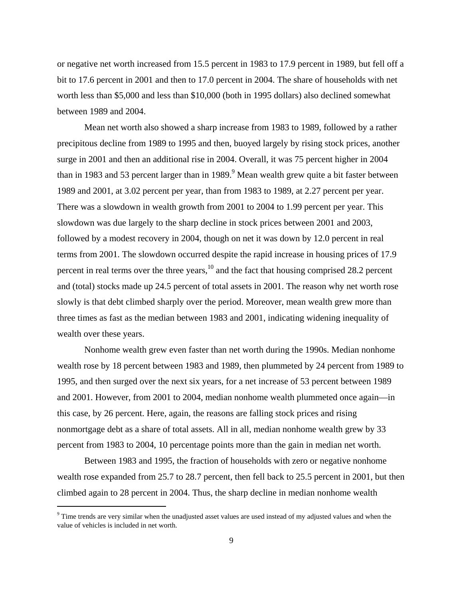or negative net worth increased from 15.5 percent in 1983 to 17.9 percent in 1989, but fell off a bit to 17.6 percent in 2001 and then to 17.0 percent in 2004. The share of households with net worth less than \$5,000 and less than \$10,000 (both in 1995 dollars) also declined somewhat between 1989 and 2004.

 Mean net worth also showed a sharp increase from 1983 to 1989, followed by a rather precipitous decline from 1989 to 1995 and then, buoyed largely by rising stock prices, another surge in 2001 and then an additional rise in 2004. Overall, it was 75 percent higher in 2004 than in 1983 and 53 percent larger than in 1989.<sup>9</sup> Mean wealth grew quite a bit faster between 1989 and 2001, at 3.02 percent per year, than from 1983 to 1989, at 2.27 percent per year. There was a slowdown in wealth growth from 2001 to 2004 to 1.99 percent per year. This slowdown was due largely to the sharp decline in stock prices between 2001 and 2003, followed by a modest recovery in 2004, though on net it was down by 12.0 percent in real terms from 2001. The slowdown occurred despite the rapid increase in housing prices of 17.9 percent in real terms over the three years, $10^{\circ}$  and the fact that housing comprised 28.2 percent and (total) stocks made up 24.5 percent of total assets in 2001. The reason why net worth rose slowly is that debt climbed sharply over the period. Moreover, mean wealth grew more than three times as fast as the median between 1983 and 2001, indicating widening inequality of wealth over these years.

 Nonhome wealth grew even faster than net worth during the 1990s. Median nonhome wealth rose by 18 percent between 1983 and 1989, then plummeted by 24 percent from 1989 to 1995, and then surged over the next six years, for a net increase of 53 percent between 1989 and 2001. However, from 2001 to 2004, median nonhome wealth plummeted once again—in this case, by 26 percent. Here, again, the reasons are falling stock prices and rising nonmortgage debt as a share of total assets. All in all, median nonhome wealth grew by 33 percent from 1983 to 2004, 10 percentage points more than the gain in median net worth.

Between 1983 and 1995, the fraction of households with zero or negative nonhome wealth rose expanded from 25.7 to 28.7 percent, then fell back to 25.5 percent in 2001, but then climbed again to 28 percent in 2004. Thus, the sharp decline in median nonhome wealth

<sup>&</sup>lt;sup>9</sup> Time trends are very similar when the unadjusted asset values are used instead of my adjusted values and when the value of vehicles is included in net worth.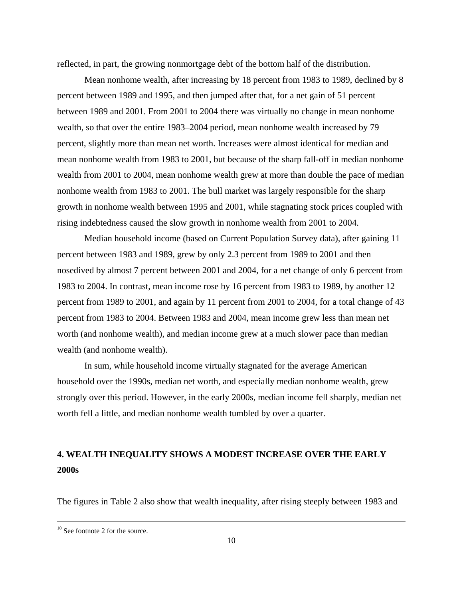reflected, in part, the growing nonmortgage debt of the bottom half of the distribution.

Mean nonhome wealth, after increasing by 18 percent from 1983 to 1989, declined by 8 percent between 1989 and 1995, and then jumped after that, for a net gain of 51 percent between 1989 and 2001. From 2001 to 2004 there was virtually no change in mean nonhome wealth, so that over the entire 1983–2004 period, mean nonhome wealth increased by 79 percent, slightly more than mean net worth. Increases were almost identical for median and mean nonhome wealth from 1983 to 2001, but because of the sharp fall-off in median nonhome wealth from 2001 to 2004, mean nonhome wealth grew at more than double the pace of median nonhome wealth from 1983 to 2001. The bull market was largely responsible for the sharp growth in nonhome wealth between 1995 and 2001, while stagnating stock prices coupled with rising indebtedness caused the slow growth in nonhome wealth from 2001 to 2004.

 Median household income (based on Current Population Survey data), after gaining 11 percent between 1983 and 1989, grew by only 2.3 percent from 1989 to 2001 and then nosedived by almost 7 percent between 2001 and 2004, for a net change of only 6 percent from 1983 to 2004. In contrast, mean income rose by 16 percent from 1983 to 1989, by another 12 percent from 1989 to 2001, and again by 11 percent from 2001 to 2004, for a total change of 43 percent from 1983 to 2004. Between 1983 and 2004, mean income grew less than mean net worth (and nonhome wealth), and median income grew at a much slower pace than median wealth (and nonhome wealth).

 In sum, while household income virtually stagnated for the average American household over the 1990s, median net worth, and especially median nonhome wealth, grew strongly over this period. However, in the early 2000s, median income fell sharply, median net worth fell a little, and median nonhome wealth tumbled by over a quarter.

# **4. WEALTH INEQUALITY SHOWS A MODEST INCREASE OVER THE EARLY 2000s**

The figures in Table 2 also show that wealth inequality, after rising steeply between 1983 and

i

 $10$  See footnote 2 for the source.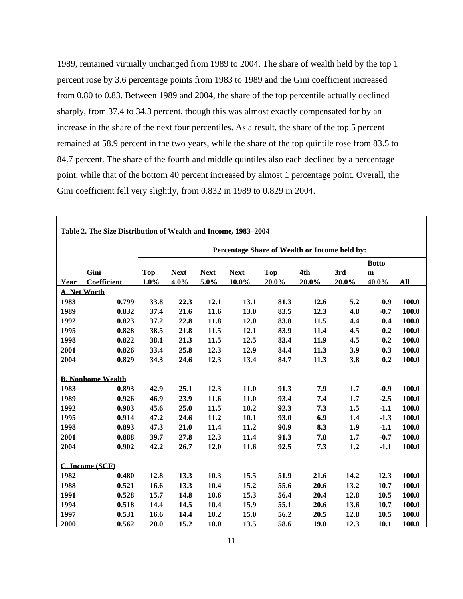1989, remained virtually unchanged from 1989 to 2004. The share of wealth held by the top 1 percent rose by 3.6 percentage points from 1983 to 1989 and the Gini coefficient increased from 0.80 to 0.83. Between 1989 and 2004, the share of the top percentile actually declined sharply, from 37.4 to 34.3 percent, though this was almost exactly compensated for by an increase in the share of the next four percentiles. As a result, the share of the top 5 percent remained at 58.9 percent in the two years, while the share of the top quintile rose from 83.5 to 84.7 percent. The share of the fourth and middle quintiles also each declined by a percentage point, while that of the bottom 40 percent increased by almost 1 percentage point. Overall, the Gini coefficient fell very slightly, from 0.832 in 1989 to 0.829 in 2004.

| Table 2. The Size Distribution of Wealth and Income, 1983-2004 |                                               |            |             |             |             |            |       |       |              |       |  |  |
|----------------------------------------------------------------|-----------------------------------------------|------------|-------------|-------------|-------------|------------|-------|-------|--------------|-------|--|--|
|                                                                | Percentage Share of Wealth or Income held by: |            |             |             |             |            |       |       |              |       |  |  |
|                                                                |                                               |            |             |             |             |            |       |       | <b>Botto</b> |       |  |  |
|                                                                | Gini                                          | <b>Top</b> | <b>Next</b> | <b>Next</b> | <b>Next</b> | <b>Top</b> | 4th   | 3rd   | $\mathbf{m}$ |       |  |  |
| Year                                                           | Coefficient                                   | 1.0%       | 4.0%        | 5.0%        | $10.0\%$    | 20.0%      | 20.0% | 20.0% | 40.0%        | All   |  |  |
|                                                                | <b>A. Net Worth</b>                           |            |             |             |             |            |       |       |              |       |  |  |
| 1983                                                           | 0.799                                         | 33.8       | 22.3        | 12.1        | 13.1        | 81.3       | 12.6  | 5.2   | 0.9          | 100.0 |  |  |
| 1989                                                           | 0.832                                         | 37.4       | 21.6        | 11.6        | 13.0        | 83.5       | 12.3  | 4.8   | $-0.7$       | 100.0 |  |  |
| 1992                                                           | 0.823                                         | 37.2       | 22.8        | 11.8        | 12.0        | 83.8       | 11.5  | 4.4   | 0.4          | 100.0 |  |  |
| 1995                                                           | 0.828                                         | 38.5       | 21.8        | 11.5        | 12.1        | 83.9       | 11.4  | 4.5   | 0.2          | 100.0 |  |  |
| 1998                                                           | 0.822                                         | 38.1       | 21.3        | 11.5        | 12.5        | 83.4       | 11.9  | 4.5   | 0.2          | 100.0 |  |  |
| 2001                                                           | 0.826                                         | 33.4       | 25.8        | 12.3        | 12.9        | 84.4       | 11.3  | 3.9   | 0.3          | 100.0 |  |  |
| 2004                                                           | 0.829                                         | 34.3       | 24.6        | 12.3        | 13.4        | 84.7       | 11.3  | 3.8   | 0.2          | 100.0 |  |  |
|                                                                |                                               |            |             |             |             |            |       |       |              |       |  |  |
|                                                                | <b>B. Nonhome Wealth</b>                      |            |             |             |             |            |       |       |              |       |  |  |
| 1983                                                           | 0.893                                         | 42.9       | 25.1        | 12.3        | 11.0        | 91.3       | 7.9   | 1.7   | $-0.9$       | 100.0 |  |  |
| 1989                                                           | 0.926                                         | 46.9       | 23.9        | 11.6        | 11.0        | 93.4       | 7.4   | 1.7   | $-2.5$       | 100.0 |  |  |
| 1992                                                           | 0.903                                         | 45.6       | 25.0        | 11.5        | 10.2        | 92.3       | 7.3   | 1.5   | $-1.1$       | 100.0 |  |  |
| 1995                                                           | 0.914                                         | 47.2       | 24.6        | 11.2        | 10.1        | 93.0       | 6.9   | 1.4   | $-1.3$       | 100.0 |  |  |
| 1998                                                           | 0.893                                         | 47.3       | 21.0        | 11.4        | 11.2        | 90.9       | 8.3   | 1.9   | $-1.1$       | 100.0 |  |  |
| 2001                                                           | 0.888                                         | 39.7       | 27.8        | 12.3        | 11.4        | 91.3       | 7.8   | 1.7   | $-0.7$       | 100.0 |  |  |
| 2004                                                           | 0.902                                         | 42.2       | 26.7        | 12.0        | 11.6        | 92.5       | 7.3   | 1.2   | $-1.1$       | 100.0 |  |  |
|                                                                |                                               |            |             |             |             |            |       |       |              |       |  |  |
|                                                                | C. Income (SCF)                               |            |             |             |             |            |       |       |              |       |  |  |
| 1982                                                           | 0.480                                         | 12.8       | 13.3        | 10.3        | 15.5        | 51.9       | 21.6  | 14.2  | 12.3         | 100.0 |  |  |
| 1988                                                           | 0.521                                         | 16.6       | 13.3        | 10.4        | 15.2        | 55.6       | 20.6  | 13.2  | 10.7         | 100.0 |  |  |
| 1991                                                           | 0.528                                         | 15.7       | 14.8        | 10.6        | 15.3        | 56.4       | 20.4  | 12.8  | 10.5         | 100.0 |  |  |
| 1994                                                           | 0.518                                         | 14.4       | 14.5        | 10.4        | 15.9        | 55.1       | 20.6  | 13.6  | 10.7         | 100.0 |  |  |
| 1997                                                           | 0.531                                         | 16.6       | 14.4        | 10.2        | 15.0        | 56.2       | 20.5  | 12.8  | 10.5         | 100.0 |  |  |
| 2000                                                           | 0.562                                         | 20.0       | 15.2        | 10.0        | 13.5        | 58.6       | 19.0  | 12.3  | 10.1         | 100.0 |  |  |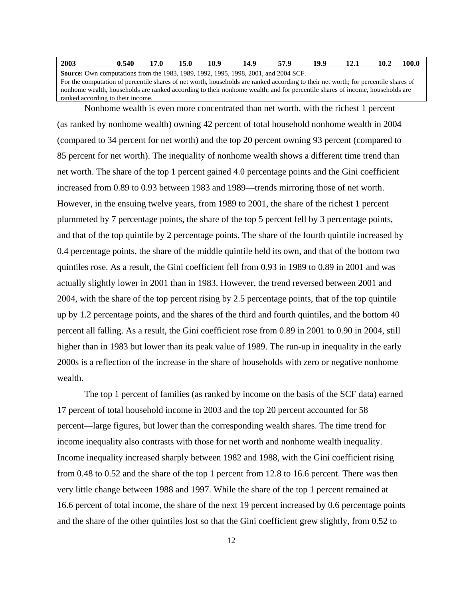| 2003                                                                                                                                | 0.540 | 17.0 | 15.0 | 10.9 | 14.9 | 57.9 | 19.9 | 12.1 | 10.2 | 100.0 |
|-------------------------------------------------------------------------------------------------------------------------------------|-------|------|------|------|------|------|------|------|------|-------|
| <b>Source:</b> Own computations from the 1983, 1989, 1992, 1995, 1998, 2001, and 2004 SCF.                                          |       |      |      |      |      |      |      |      |      |       |
| For the computation of percentile shares of net worth, households are ranked according to their net worth; for percentile shares of |       |      |      |      |      |      |      |      |      |       |
| nonhome wealth, households are ranked according to their nonhome wealth; and for percentile shares of income, households are        |       |      |      |      |      |      |      |      |      |       |
| ranked according to their income.                                                                                                   |       |      |      |      |      |      |      |      |      |       |

Nonhome wealth is even more concentrated than net worth, with the richest 1 percent (as ranked by nonhome wealth) owning 42 percent of total household nonhome wealth in 2004 (compared to 34 percent for net worth) and the top 20 percent owning 93 percent (compared to 85 percent for net worth). The inequality of nonhome wealth shows a different time trend than net worth. The share of the top 1 percent gained 4.0 percentage points and the Gini coefficient increased from 0.89 to 0.93 between 1983 and 1989—trends mirroring those of net worth. However, in the ensuing twelve years, from 1989 to 2001, the share of the richest 1 percent plummeted by 7 percentage points, the share of the top 5 percent fell by 3 percentage points, and that of the top quintile by 2 percentage points. The share of the fourth quintile increased by 0.4 percentage points, the share of the middle quintile held its own, and that of the bottom two quintiles rose. As a result, the Gini coefficient fell from 0.93 in 1989 to 0.89 in 2001 and was actually slightly lower in 2001 than in 1983. However, the trend reversed between 2001 and 2004, with the share of the top percent rising by 2.5 percentage points, that of the top quintile up by 1.2 percentage points, and the shares of the third and fourth quintiles, and the bottom 40 percent all falling. As a result, the Gini coefficient rose from 0.89 in 2001 to 0.90 in 2004, still higher than in 1983 but lower than its peak value of 1989. The run-up in inequality in the early 2000s is a reflection of the increase in the share of households with zero or negative nonhome wealth.

The top 1 percent of families (as ranked by income on the basis of the SCF data) earned 17 percent of total household income in 2003 and the top 20 percent accounted for 58 percent—large figures, but lower than the corresponding wealth shares. The time trend for income inequality also contrasts with those for net worth and nonhome wealth inequality. Income inequality increased sharply between 1982 and 1988, with the Gini coefficient rising from 0.48 to 0.52 and the share of the top 1 percent from 12.8 to 16.6 percent. There was then very little change between 1988 and 1997. While the share of the top 1 percent remained at 16.6 percent of total income, the share of the next 19 percent increased by 0.6 percentage points and the share of the other quintiles lost so that the Gini coefficient grew slightly, from 0.52 to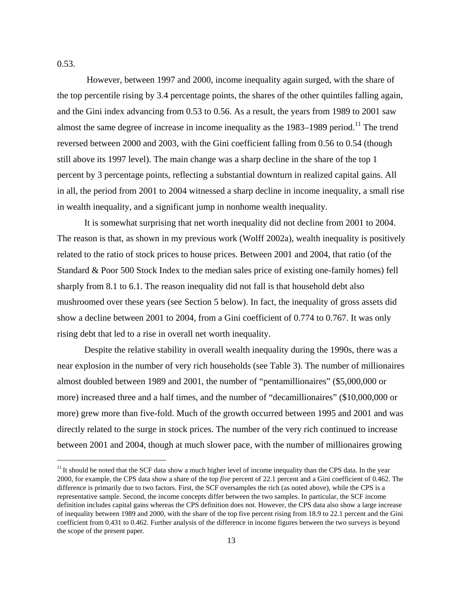0.53.

i<br>I

 However, between 1997 and 2000, income inequality again surged, with the share of the top percentile rising by 3.4 percentage points, the shares of the other quintiles falling again, and the Gini index advancing from 0.53 to 0.56. As a result, the years from 1989 to 2001 saw almost the same degree of increase in income inequality as the  $1983-1989$  period.<sup>11</sup> The trend reversed between 2000 and 2003, with the Gini coefficient falling from 0.56 to 0.54 (though still above its 1997 level). The main change was a sharp decline in the share of the top 1 percent by 3 percentage points, reflecting a substantial downturn in realized capital gains. All in all, the period from 2001 to 2004 witnessed a sharp decline in income inequality, a small rise in wealth inequality, and a significant jump in nonhome wealth inequality.

It is somewhat surprising that net worth inequality did not decline from 2001 to 2004. The reason is that, as shown in my previous work (Wolff 2002a), wealth inequality is positively related to the ratio of stock prices to house prices. Between 2001 and 2004, that ratio (of the Standard & Poor 500 Stock Index to the median sales price of existing one-family homes) fell sharply from 8.1 to 6.1. The reason inequality did not fall is that household debt also mushroomed over these years (see Section 5 below). In fact, the inequality of gross assets did show a decline between 2001 to 2004, from a Gini coefficient of 0.774 to 0.767. It was only rising debt that led to a rise in overall net worth inequality.

 Despite the relative stability in overall wealth inequality during the 1990s, there was a near explosion in the number of very rich households (see Table 3). The number of millionaires almost doubled between 1989 and 2001, the number of "pentamillionaires" (\$5,000,000 or more) increased three and a half times, and the number of "decamillionaires" (\$10,000,000 or more) grew more than five-fold. Much of the growth occurred between 1995 and 2001 and was directly related to the surge in stock prices. The number of the very rich continued to increase between 2001 and 2004, though at much slower pace, with the number of millionaires growing

 $11$  It should be noted that the SCF data show a much higher level of income inequality than the CPS data. In the year 2000, for example, the CPS data show a share of the top *five* percent of 22.1 percent and a Gini coefficient of 0.462. The difference is primarily due to two factors. First, the SCF oversamples the rich (as noted above), while the CPS is a representative sample. Second, the income concepts differ between the two samples. In particular, the SCF income definition includes capital gains whereas the CPS definition does not. However, the CPS data also show a large increase of inequality between 1989 and 2000, with the share of the top five percent rising from 18.9 to 22.1 percent and the Gini coefficient from 0.431 to 0.462. Further analysis of the difference in income figures between the two surveys is beyond the scope of the present paper.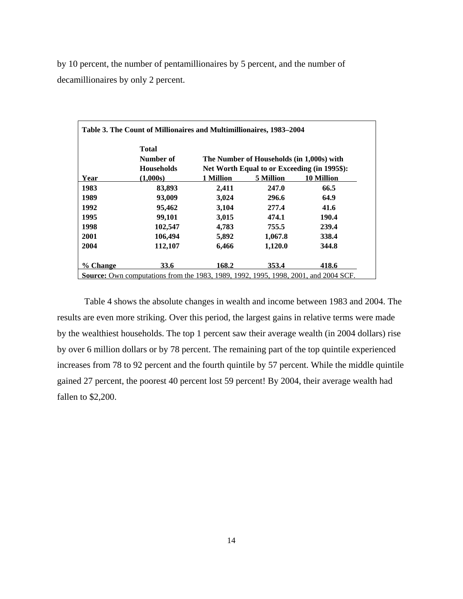by 10 percent, the number of pentamillionaires by 5 percent, and the number of decamillionaires by only 2 percent.

|          | Total<br>Number of |           | The Number of Households (in 1,000s) with    |                   |
|----------|--------------------|-----------|----------------------------------------------|-------------------|
|          | <b>Households</b>  |           | Net Worth Equal to or Exceeding (in 1995\$): |                   |
| Year     | (1.000s)           | 1 Million | 5 Million                                    | <b>10 Million</b> |
| 1983     | 83,893             | 2,411     | 247.0                                        | 66.5              |
| 1989     | 93,009             | 3,024     | 296.6                                        | 64.9              |
| 1992     | 95,462             | 3,104     | 277.4                                        | 41.6              |
| 1995     | 99,101             | 3,015     | 474.1                                        | 190.4             |
| 1998     | 102,547            | 4,783     | 755.5                                        | 239.4             |
| 2001     | 106,494            | 5,892     | 1,067.8                                      | 338.4             |
| 2004     | 112,107            | 6,466     | 1,120.0                                      | 344.8             |
| % Change | 33.6               | 168.2     | 353.4                                        | 418.6             |

 Table 4 shows the absolute changes in wealth and income between 1983 and 2004. The results are even more striking. Over this period, the largest gains in relative terms were made by the wealthiest households. The top 1 percent saw their average wealth (in 2004 dollars) rise by over 6 million dollars or by 78 percent. The remaining part of the top quintile experienced increases from 78 to 92 percent and the fourth quintile by 57 percent. While the middle quintile gained 27 percent, the poorest 40 percent lost 59 percent! By 2004, their average wealth had fallen to \$2,200.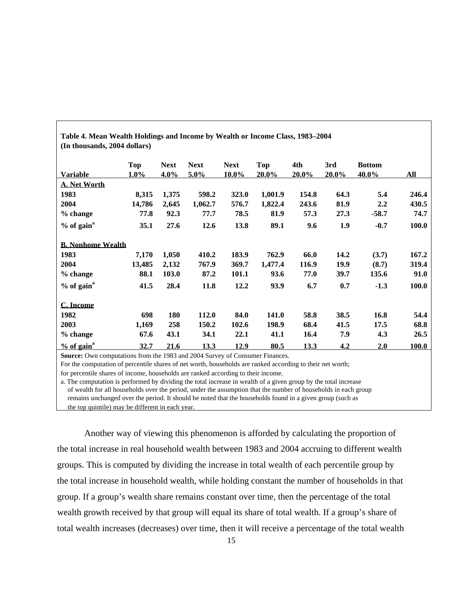| Table 4. Mean Wealth Holdings and Income by Wealth or Income Class, 1983–2004 |         |             |             |             |            |          |          |               |       |  |  |
|-------------------------------------------------------------------------------|---------|-------------|-------------|-------------|------------|----------|----------|---------------|-------|--|--|
| (In thousands, 2004 dollars)                                                  |         |             |             |             |            |          |          |               |       |  |  |
|                                                                               | Top     | <b>Next</b> | <b>Next</b> | <b>Next</b> | <b>Top</b> | 4th      | 3rd      | <b>Bottom</b> |       |  |  |
| <b>Variable</b>                                                               | $1.0\%$ | $4.0\%$     | 5.0%        | $10.0\%$    | $20.0\%$   | $20.0\%$ | $20.0\%$ | $40.0\%$      | All   |  |  |
| <b>A. Net Worth</b>                                                           |         |             |             |             |            |          |          |               |       |  |  |
| 1983                                                                          | 8,315   | 1,375       | 598.2       | 323.0       | 1,001.9    | 154.8    | 64.3     | 5.4           | 246.4 |  |  |
| 2004                                                                          | 14,786  | 2,645       | 1,062.7     | 576.7       | 1,822.4    | 243.6    | 81.9     | 2.2           | 430.5 |  |  |
| % change                                                                      | 77.8    | 92.3        | 77.7        | 78.5        | 81.9       | 57.3     | 27.3     | $-58.7$       | 74.7  |  |  |
| $%$ of gain $a$                                                               | 35.1    | 27.6        | 12.6        | 13.8        | 89.1       | 9.6      | 1.9      | $-0.7$        | 100.0 |  |  |
| <b>B. Nonhome Wealth</b>                                                      |         |             |             |             |            |          |          |               |       |  |  |
| 1983                                                                          | 7,170   | 1,050       | 410.2       | 183.9       | 762.9      | 66.0     | 14.2     | (3.7)         | 167.2 |  |  |
| 2004                                                                          | 13,485  | 2,132       | 767.9       | 369.7       | 1,477.4    | 116.9    | 19.9     | (8.7)         | 319.4 |  |  |
| % change                                                                      | 88.1    | 103.0       | 87.2        | 101.1       | 93.6       | 77.0     | 39.7     | 135.6         | 91.0  |  |  |
| $%$ of gain <sup>a</sup>                                                      | 41.5    | 28.4        | 11.8        | 12.2        | 93.9       | 6.7      | 0.7      | $-1.3$        | 100.0 |  |  |
| C. Income                                                                     |         |             |             |             |            |          |          |               |       |  |  |
| 1982                                                                          | 698     | 180         | 112.0       | 84.0        | 141.0      | 58.8     | 38.5     | 16.8          | 54.4  |  |  |
| 2003                                                                          | 1,169   | 258         | 150.2       | 102.6       | 198.9      | 68.4     | 41.5     | 17.5          | 68.8  |  |  |
| % change                                                                      | 67.6    | 43.1        | 34.1        | 22.1        | 41.1       | 16.4     | 7.9      | 4.3           | 26.5  |  |  |
| $\frac{9}{6}$ of gain <sup>a</sup>                                            | 32.7    | 21.6        | 13.3        | 12.9        | 80.5       | 13.3     | 4.2      | 2.0           | 100.0 |  |  |

**Source:** Own computations from the 1983 and 2004 Survey of Consumer Finances. For the computation of percentile shares of net worth, households are ranked according to their net worth;

for percentile shares of income, households are ranked according to their income.

a. The computation is performed by dividing the total increase in wealth of a given group by the total increase of wealth for all households over the period, under the assumption that the number of households in each group remains unchanged over the period. It should be noted that the households found in a given group (such as the top quintile) may be different in each year.

 Another way of viewing this phenomenon is afforded by calculating the proportion of the total increase in real household wealth between 1983 and 2004 accruing to different wealth groups. This is computed by dividing the increase in total wealth of each percentile group by the total increase in household wealth, while holding constant the number of households in that group. If a group's wealth share remains constant over time, then the percentage of the total wealth growth received by that group will equal its share of total wealth. If a group's share of total wealth increases (decreases) over time, then it will receive a percentage of the total wealth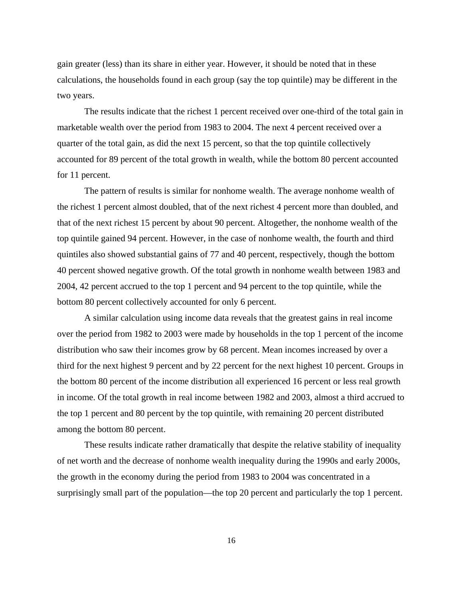gain greater (less) than its share in either year. However, it should be noted that in these calculations, the households found in each group (say the top quintile) may be different in the two years.

 The results indicate that the richest 1 percent received over one-third of the total gain in marketable wealth over the period from 1983 to 2004. The next 4 percent received over a quarter of the total gain, as did the next 15 percent, so that the top quintile collectively accounted for 89 percent of the total growth in wealth, while the bottom 80 percent accounted for 11 percent.

 The pattern of results is similar for nonhome wealth. The average nonhome wealth of the richest 1 percent almost doubled, that of the next richest 4 percent more than doubled, and that of the next richest 15 percent by about 90 percent. Altogether, the nonhome wealth of the top quintile gained 94 percent. However, in the case of nonhome wealth, the fourth and third quintiles also showed substantial gains of 77 and 40 percent, respectively, though the bottom 40 percent showed negative growth. Of the total growth in nonhome wealth between 1983 and 2004, 42 percent accrued to the top 1 percent and 94 percent to the top quintile, while the bottom 80 percent collectively accounted for only 6 percent.

 A similar calculation using income data reveals that the greatest gains in real income over the period from 1982 to 2003 were made by households in the top 1 percent of the income distribution who saw their incomes grow by 68 percent. Mean incomes increased by over a third for the next highest 9 percent and by 22 percent for the next highest 10 percent. Groups in the bottom 80 percent of the income distribution all experienced 16 percent or less real growth in income. Of the total growth in real income between 1982 and 2003, almost a third accrued to the top 1 percent and 80 percent by the top quintile, with remaining 20 percent distributed among the bottom 80 percent.

 These results indicate rather dramatically that despite the relative stability of inequality of net worth and the decrease of nonhome wealth inequality during the 1990s and early 2000s, the growth in the economy during the period from 1983 to 2004 was concentrated in a surprisingly small part of the population—the top 20 percent and particularly the top 1 percent.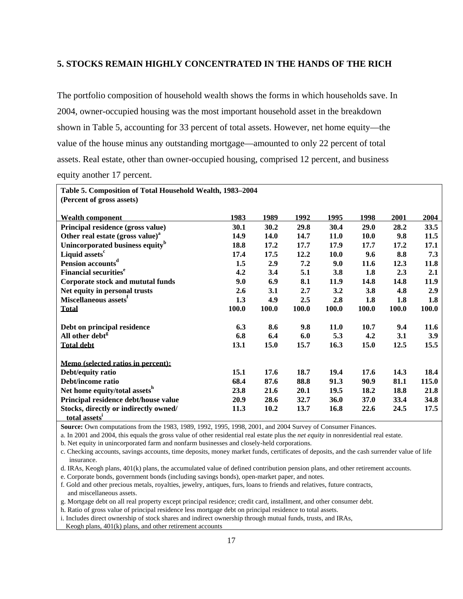#### **5. STOCKS REMAIN HIGHLY CONCENTRATED IN THE HANDS OF THE RICH**

The portfolio composition of household wealth shows the forms in which households save. In 2004, owner-occupied housing was the most important household asset in the breakdown shown in Table 5, accounting for 33 percent of total assets. However, net home equity—the value of the house minus any outstanding mortgage—amounted to only 22 percent of total assets. Real estate, other than owner-occupied housing, comprised 12 percent, and business equity another 17 percent.

| Table 5. Composition of Total Household Wealth, 1983-2004 |       |       |       |             |       |       |            |  |  |  |  |
|-----------------------------------------------------------|-------|-------|-------|-------------|-------|-------|------------|--|--|--|--|
| (Percent of gross assets)                                 |       |       |       |             |       |       |            |  |  |  |  |
|                                                           |       |       |       |             |       |       |            |  |  |  |  |
| <b>Wealth component</b>                                   | 1983  | 1989  | 1992  | 1995        | 1998  | 2001  | 2004       |  |  |  |  |
| Principal residence (gross value)                         | 30.1  | 30.2  | 29.8  | 30.4        | 29.0  | 28.2  | 33.5       |  |  |  |  |
| Other real estate (gross value) <sup>a</sup>              | 14.9  | 14.0  | 14.7  | 11.0        | 10.0  | 9.8   | 11.5       |  |  |  |  |
| Unincorporated business equity <sup>b</sup>               | 18.8  | 17.2  | 17.7  | 17.9        | 17.7  | 17.2  | 17.1       |  |  |  |  |
| Liquid assets <sup>c</sup>                                | 17.4  | 17.5  | 12.2  | 10.0        | 9.6   | 8.8   | 7.3        |  |  |  |  |
| Pension accounts <sup>d</sup>                             | 1.5   | 2.9   | 7.2   | 9.0         | 11.6  | 12.3  | 11.8       |  |  |  |  |
| <b>Financial securities<sup>e</sup></b>                   | 4.2   | 3.4   | 5.1   | 3.8         | 1.8   | 2.3   | 2.1        |  |  |  |  |
| Corporate stock and mututal funds                         | 9.0   | 6.9   | 8.1   | 11.9        | 14.8  | 14.8  | 11.9       |  |  |  |  |
| Net equity in personal trusts                             | 2.6   | 3.1   | 2.7   | 3.2         | 3.8   | 4.8   | <b>2.9</b> |  |  |  |  |
| Miscellaneous assets <sup>r</sup>                         | 1.3   | 4.9   | 2.5   | 2.8         | 1.8   | 1.8   | 1.8        |  |  |  |  |
| <b>Total</b>                                              | 100.0 | 100.0 | 100.0 | 100.0       | 100.0 | 100.0 | 100.0      |  |  |  |  |
| Debt on principal residence                               | 6.3   | 8.6   | 9.8   | <b>11.0</b> | 10.7  | 9.4   | 11.6       |  |  |  |  |
| All other debt <sup>g</sup>                               | 6.8   | 6.4   | 6.0   | 5.3         | 4.2   | 3.1   | <b>3.9</b> |  |  |  |  |
|                                                           |       |       |       |             |       |       |            |  |  |  |  |
| <b>Total debt</b>                                         | 13.1  | 15.0  | 15.7  | 16.3        | 15.0  | 12.5  | 15.5       |  |  |  |  |
| Memo (selected ratios in percent):                        |       |       |       |             |       |       |            |  |  |  |  |
| Debt/equity ratio                                         | 15.1  | 17.6  | 18.7  | 19.4        | 17.6  | 14.3  | 18.4       |  |  |  |  |
| Debt/income ratio                                         | 68.4  | 87.6  | 88.8  | 91.3        | 90.9  | 81.1  | 115.0      |  |  |  |  |
| Net home equity/total assets <sup>h</sup>                 | 23.8  | 21.6  | 20.1  | 19.5        | 18.2  | 18.8  | 21.8       |  |  |  |  |
| Principal residence debt/house value                      | 20.9  | 28.6  | 32.7  | 36.0        | 37.0  | 33.4  | 34.8       |  |  |  |  |
| Stocks, directly or indirectly owned/                     | 11.3  | 10.2  | 13.7  | 16.8        | 22.6  | 24.5  | 17.5       |  |  |  |  |
| total assets <sup>1</sup>                                 |       |       |       |             |       |       |            |  |  |  |  |

**Source:** Own computations from the 1983, 1989, 1992, 1995, 1998, 2001, and 2004 Survey of Consumer Finances.

a. In 2001 and 2004, this equals the gross value of other residential real estate plus the *net equity* in nonresidential real estate.

b. Net equity in unincorporated farm and nonfarm businesses and closely-held corporations.

c. Checking accounts, savings accounts, time deposits, money market funds, certificates of deposits, and the cash surrender value of life insurance.

d. IRAs, Keogh plans, 401(k) plans, the accumulated value of defined contribution pension plans, and other retirement accounts.

e. Corporate bonds, government bonds (including savings bonds), open-market paper, and notes.

f. Gold and other precious metals, royalties, jewelry, antiques, furs, loans to friends and relatives, future contracts, and miscellaneous assets.

g. Mortgage debt on all real property except principal residence; credit card, installment, and other consumer debt.

h. Ratio of gross value of principal residence less mortgage debt on principal residence to total assets.

i. Includes direct ownership of stock shares and indirect ownership through mutual funds, trusts, and IRAs,

Keogh plans, 401(k) plans, and other retirement accounts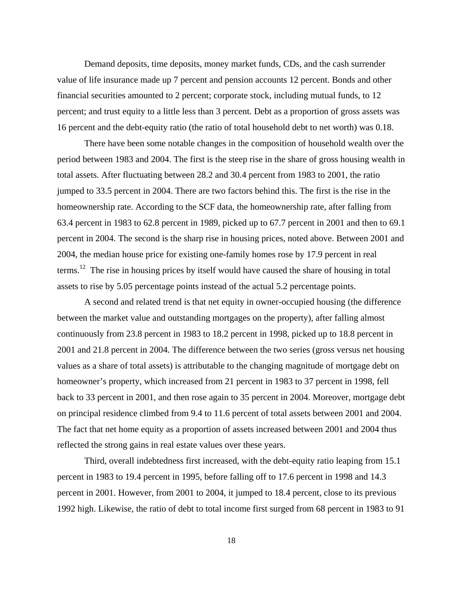Demand deposits, time deposits, money market funds, CDs, and the cash surrender value of life insurance made up 7 percent and pension accounts 12 percent. Bonds and other financial securities amounted to 2 percent; corporate stock, including mutual funds, to 12 percent; and trust equity to a little less than 3 percent. Debt as a proportion of gross assets was 16 percent and the debt-equity ratio (the ratio of total household debt to net worth) was 0.18.

 There have been some notable changes in the composition of household wealth over the period between 1983 and 2004. The first is the steep rise in the share of gross housing wealth in total assets. After fluctuating between 28.2 and 30.4 percent from 1983 to 2001, the ratio jumped to 33.5 percent in 2004. There are two factors behind this. The first is the rise in the homeownership rate. According to the SCF data, the homeownership rate, after falling from 63.4 percent in 1983 to 62.8 percent in 1989, picked up to 67.7 percent in 2001 and then to 69.1 percent in 2004. The second is the sharp rise in housing prices, noted above. Between 2001 and 2004, the median house price for existing one-family homes rose by 17.9 percent in real terms.<sup>12</sup> The rise in housing prices by itself would have caused the share of housing in total assets to rise by 5.05 percentage points instead of the actual 5.2 percentage points.

A second and related trend is that net equity in owner-occupied housing (the difference between the market value and outstanding mortgages on the property), after falling almost continuously from 23.8 percent in 1983 to 18.2 percent in 1998, picked up to 18.8 percent in 2001 and 21.8 percent in 2004. The difference between the two series (gross versus net housing values as a share of total assets) is attributable to the changing magnitude of mortgage debt on homeowner's property, which increased from 21 percent in 1983 to 37 percent in 1998, fell back to 33 percent in 2001, and then rose again to 35 percent in 2004. Moreover, mortgage debt on principal residence climbed from 9.4 to 11.6 percent of total assets between 2001 and 2004. The fact that net home equity as a proportion of assets increased between 2001 and 2004 thus reflected the strong gains in real estate values over these years.

 Third, overall indebtedness first increased, with the debt-equity ratio leaping from 15.1 percent in 1983 to 19.4 percent in 1995, before falling off to 17.6 percent in 1998 and 14.3 percent in 2001. However, from 2001 to 2004, it jumped to 18.4 percent, close to its previous 1992 high. Likewise, the ratio of debt to total income first surged from 68 percent in 1983 to 91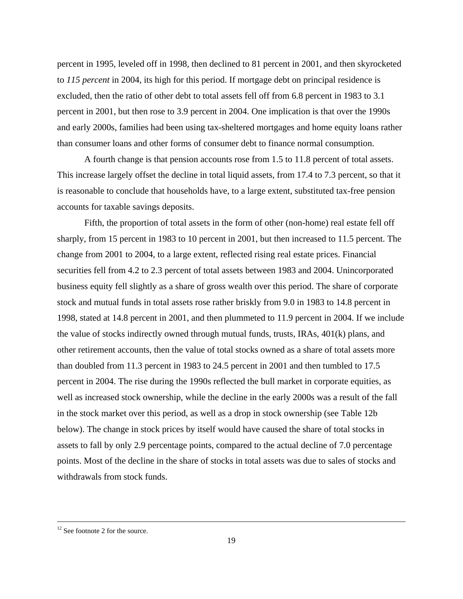percent in 1995, leveled off in 1998, then declined to 81 percent in 2001, and then skyrocketed to *115 percent* in 2004, its high for this period. If mortgage debt on principal residence is excluded, then the ratio of other debt to total assets fell off from 6.8 percent in 1983 to 3.1 percent in 2001, but then rose to 3.9 percent in 2004. One implication is that over the 1990s and early 2000s, families had been using tax-sheltered mortgages and home equity loans rather than consumer loans and other forms of consumer debt to finance normal consumption.

A fourth change is that pension accounts rose from 1.5 to 11.8 percent of total assets. This increase largely offset the decline in total liquid assets, from 17.4 to 7.3 percent, so that it is reasonable to conclude that households have, to a large extent, substituted tax-free pension accounts for taxable savings deposits.

Fifth, the proportion of total assets in the form of other (non-home) real estate fell off sharply, from 15 percent in 1983 to 10 percent in 2001, but then increased to 11.5 percent. The change from 2001 to 2004, to a large extent, reflected rising real estate prices. Financial securities fell from 4.2 to 2.3 percent of total assets between 1983 and 2004. Unincorporated business equity fell slightly as a share of gross wealth over this period. The share of corporate stock and mutual funds in total assets rose rather briskly from 9.0 in 1983 to 14.8 percent in 1998, stated at 14.8 percent in 2001, and then plummeted to 11.9 percent in 2004. If we include the value of stocks indirectly owned through mutual funds, trusts, IRAs, 401(k) plans, and other retirement accounts, then the value of total stocks owned as a share of total assets more than doubled from 11.3 percent in 1983 to 24.5 percent in 2001 and then tumbled to 17.5 percent in 2004. The rise during the 1990s reflected the bull market in corporate equities, as well as increased stock ownership, while the decline in the early 2000s was a result of the fall in the stock market over this period, as well as a drop in stock ownership (see Table 12b below). The change in stock prices by itself would have caused the share of total stocks in assets to fall by only 2.9 percentage points, compared to the actual decline of 7.0 percentage points. Most of the decline in the share of stocks in total assets was due to sales of stocks and withdrawals from stock funds.

i

 $12$  See footnote 2 for the source.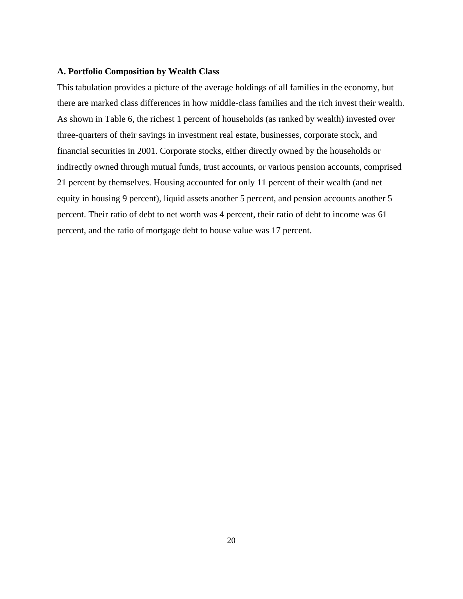#### **A. Portfolio Composition by Wealth Class**

This tabulation provides a picture of the average holdings of all families in the economy, but there are marked class differences in how middle-class families and the rich invest their wealth. As shown in Table 6, the richest 1 percent of households (as ranked by wealth) invested over three-quarters of their savings in investment real estate, businesses, corporate stock, and financial securities in 2001. Corporate stocks, either directly owned by the households or indirectly owned through mutual funds, trust accounts, or various pension accounts, comprised 21 percent by themselves. Housing accounted for only 11 percent of their wealth (and net equity in housing 9 percent), liquid assets another 5 percent, and pension accounts another 5 percent. Their ratio of debt to net worth was 4 percent, their ratio of debt to income was 61 percent, and the ratio of mortgage debt to house value was 17 percent.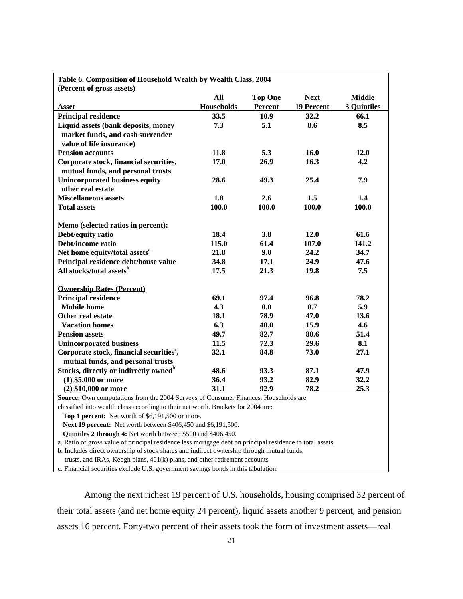| Table 6. Composition of Household Wealth by Wealth Class, 2004                                            |                   |                |                          |                    |
|-----------------------------------------------------------------------------------------------------------|-------------------|----------------|--------------------------|--------------------|
| (Percent of gross assets)                                                                                 |                   |                |                          |                    |
|                                                                                                           | All               | <b>Top One</b> | <b>Next</b>              | <b>Middle</b>      |
| <b>Asset</b>                                                                                              | <b>Households</b> | Percent        | <u><b>19 Percent</b></u> | <b>3 Quintiles</b> |
| <b>Principal residence</b>                                                                                | 33.5              | 10.9           | 32.2                     | 66.1               |
| Liquid assets (bank deposits, money                                                                       | 7.3               | 5.1            | 8.6                      | 8.5                |
| market funds, and cash surrender                                                                          |                   |                |                          |                    |
| value of life insurance)                                                                                  |                   |                |                          |                    |
| <b>Pension accounts</b>                                                                                   | 11.8              | 5.3            | 16.0                     | 12.0               |
| Corporate stock, financial securities,                                                                    | 17.0              | 26.9           | 16.3                     | 4.2                |
| mutual funds, and personal trusts                                                                         |                   |                |                          |                    |
| <b>Unincorporated business equity</b><br>other real estate                                                | 28.6              | 49.3           | 25.4                     | 7.9                |
| <b>Miscellaneous assets</b>                                                                               | 1.8               | 2.6            | 1.5                      | 1.4                |
| <b>Total assets</b>                                                                                       | 100.0             | 100.0          | 100.0                    | 100.0              |
|                                                                                                           |                   |                |                          |                    |
| Memo (selected ratios in percent):                                                                        |                   |                |                          |                    |
| Debt/equity ratio                                                                                         | 18.4              | 3.8            | 12.0                     | 61.6               |
| Debt/income ratio                                                                                         | 115.0             | 61.4           | 107.0                    | 141.2              |
| Net home equity/total assets <sup>a</sup>                                                                 | 21.8              | 9.0            | 24.2                     | 34.7               |
| Principal residence debt/house value                                                                      | 34.8              | 17.1           | 24.9                     | 47.6               |
| All stocks/total assets <sup>b</sup>                                                                      | 17.5              | 21.3           | 19.8                     | 7.5                |
| <b>Ownership Rates (Percent)</b>                                                                          |                   |                |                          |                    |
| <b>Principal residence</b>                                                                                | 69.1              | 97.4           | 96.8                     | 78.2               |
| <b>Mobile</b> home                                                                                        | 4.3               | 0.0            | 0.7                      | 5.9                |
| <b>Other real estate</b>                                                                                  | 18.1              | 78.9           | 47.0                     | 13.6               |
| <b>Vacation homes</b>                                                                                     | 6.3               | 40.0           | 15.9                     | 4.6                |
| <b>Pension assets</b>                                                                                     | 49.7              | 82.7           | 80.6                     | 51.4               |
| <b>Unincorporated business</b>                                                                            | 11.5              | 72.3           | 29.6                     | 8.1                |
| Corporate stock, financial securities <sup>c</sup> ,                                                      | 32.1              | 84.8           | 73.0                     | 27.1               |
| mutual funds, and personal trusts                                                                         |                   |                |                          |                    |
| Stocks, directly or indirectly owned <sup>b</sup>                                                         | 48.6              | 93.3           | 87.1                     | 47.9               |
| $(1)$ \$5,000 or more                                                                                     | 36.4              | 93.2           | 82.9                     | 32.2               |
| $(2)$ \$10,000 or more                                                                                    | 31.1              | 92.9           | 78.2                     | 25.3               |
| Source: Own computations from the 2004 Surveys of Consumer Finances. Households are                       |                   |                |                          |                    |
| classified into wealth class according to their net worth. Brackets for 2004 are:                         |                   |                |                          |                    |
| Top 1 percent: Net worth of \$6,191,500 or more.                                                          |                   |                |                          |                    |
| Next 19 percent: Net worth between \$406,450 and \$6,191,500.                                             |                   |                |                          |                    |
| <b>Ouintiles 2 through 4:</b> Net worth between \$500 and \$406,450.                                      |                   |                |                          |                    |
| a. Ratio of gross value of principal residence less mortgage debt on principal residence to total assets. |                   |                |                          |                    |
| b. Includes direct ownership of stock shares and indirect ownership through mutual funds,                 |                   |                |                          |                    |
| trusts, and IRAs, Keogh plans, 401(k) plans, and other retirement accounts                                |                   |                |                          |                    |

c. Financial securities exclude U.S. government savings bonds in this tabulation.

 Among the next richest 19 percent of U.S. households, housing comprised 32 percent of their total assets (and net home equity 24 percent), liquid assets another 9 percent, and pension assets 16 percent. Forty-two percent of their assets took the form of investment assets—real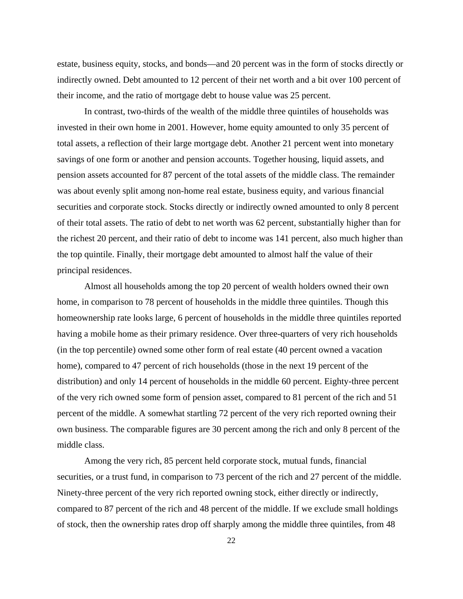estate, business equity, stocks, and bonds—and 20 percent was in the form of stocks directly or indirectly owned. Debt amounted to 12 percent of their net worth and a bit over 100 percent of their income, and the ratio of mortgage debt to house value was 25 percent.

 In contrast, two-thirds of the wealth of the middle three quintiles of households was invested in their own home in 2001. However, home equity amounted to only 35 percent of total assets, a reflection of their large mortgage debt. Another 21 percent went into monetary savings of one form or another and pension accounts. Together housing, liquid assets, and pension assets accounted for 87 percent of the total assets of the middle class. The remainder was about evenly split among non-home real estate, business equity, and various financial securities and corporate stock. Stocks directly or indirectly owned amounted to only 8 percent of their total assets. The ratio of debt to net worth was 62 percent, substantially higher than for the richest 20 percent, and their ratio of debt to income was 141 percent, also much higher than the top quintile. Finally, their mortgage debt amounted to almost half the value of their principal residences.

 Almost all households among the top 20 percent of wealth holders owned their own home, in comparison to 78 percent of households in the middle three quintiles. Though this homeownership rate looks large, 6 percent of households in the middle three quintiles reported having a mobile home as their primary residence. Over three-quarters of very rich households (in the top percentile) owned some other form of real estate (40 percent owned a vacation home), compared to 47 percent of rich households (those in the next 19 percent of the distribution) and only 14 percent of households in the middle 60 percent. Eighty-three percent of the very rich owned some form of pension asset, compared to 81 percent of the rich and 51 percent of the middle. A somewhat startling 72 percent of the very rich reported owning their own business. The comparable figures are 30 percent among the rich and only 8 percent of the middle class.

 Among the very rich, 85 percent held corporate stock, mutual funds, financial securities, or a trust fund, in comparison to 73 percent of the rich and 27 percent of the middle. Ninety-three percent of the very rich reported owning stock, either directly or indirectly, compared to 87 percent of the rich and 48 percent of the middle. If we exclude small holdings of stock, then the ownership rates drop off sharply among the middle three quintiles, from 48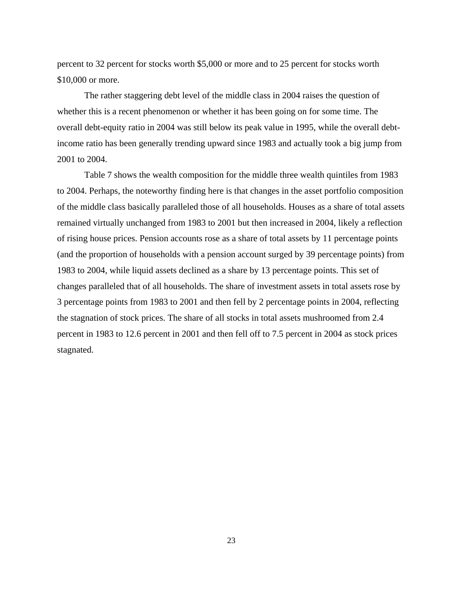percent to 32 percent for stocks worth \$5,000 or more and to 25 percent for stocks worth \$10,000 or more.

 The rather staggering debt level of the middle class in 2004 raises the question of whether this is a recent phenomenon or whether it has been going on for some time. The overall debt-equity ratio in 2004 was still below its peak value in 1995, while the overall debtincome ratio has been generally trending upward since 1983 and actually took a big jump from 2001 to 2004.

Table 7 shows the wealth composition for the middle three wealth quintiles from 1983 to 2004. Perhaps, the noteworthy finding here is that changes in the asset portfolio composition of the middle class basically paralleled those of all households. Houses as a share of total assets remained virtually unchanged from 1983 to 2001 but then increased in 2004, likely a reflection of rising house prices. Pension accounts rose as a share of total assets by 11 percentage points (and the proportion of households with a pension account surged by 39 percentage points) from 1983 to 2004, while liquid assets declined as a share by 13 percentage points. This set of changes paralleled that of all households. The share of investment assets in total assets rose by 3 percentage points from 1983 to 2001 and then fell by 2 percentage points in 2004, reflecting the stagnation of stock prices. The share of all stocks in total assets mushroomed from 2.4 percent in 1983 to 12.6 percent in 2001 and then fell off to 7.5 percent in 2004 as stock prices stagnated.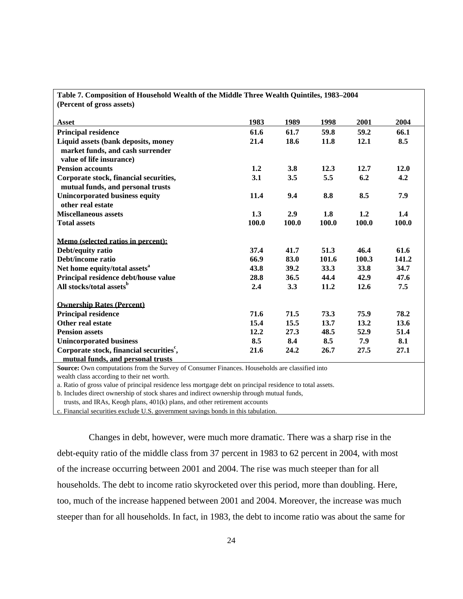| (Percent of gross assets)                            |       |       |       |       |       |
|------------------------------------------------------|-------|-------|-------|-------|-------|
| Asset                                                | 1983  | 1989  | 1998  | 2001  | 2004  |
| <b>Principal residence</b>                           | 61.6  | 61.7  | 59.8  | 59.2  | 66.1  |
| Liquid assets (bank deposits, money                  | 21.4  | 18.6  | 11.8  | 12.1  | 8.5   |
| market funds, and cash surrender                     |       |       |       |       |       |
| value of life insurance)                             |       |       |       |       |       |
| <b>Pension accounts</b>                              | 1.2   | 3.8   | 12.3  | 12.7  | 12.0  |
| Corporate stock, financial securities,               | 3.1   | 3.5   | 5.5   | 6.2   | 4.2   |
| mutual funds, and personal trusts                    |       |       |       |       |       |
| <b>Unincorporated business equity</b>                | 11.4  | 9.4   | 8.8   | 8.5   | 7.9   |
| other real estate                                    |       |       |       |       |       |
| <b>Miscellaneous assets</b>                          | 1.3   | 2.9   | 1.8   | 1.2   | 1.4   |
| <b>Total assets</b>                                  | 100.0 | 100.0 | 100.0 | 100.0 | 100.0 |
| Memo (selected ratios in percent):                   |       |       |       |       |       |
| Debt/equity ratio                                    | 37.4  | 41.7  | 51.3  | 46.4  | 61.6  |
| Debt/income ratio                                    | 66.9  | 83.0  | 101.6 | 100.3 | 141.2 |
| Net home equity/total assets <sup>a</sup>            | 43.8  | 39.2  | 33.3  | 33.8  | 34.7  |
| Principal residence debt/house value                 | 28.8  | 36.5  | 44.4  | 42.9  | 47.6  |
| All stocks/total assets <sup>b</sup>                 | 2.4   | 3.3   | 11.2  | 12.6  | 7.5   |
| <b>Ownership Rates (Percent)</b>                     |       |       |       |       |       |
| <b>Principal residence</b>                           | 71.6  | 71.5  | 73.3  | 75.9  | 78.2  |
| Other real estate                                    | 15.4  | 15.5  | 13.7  | 13.2  | 13.6  |
| <b>Pension assets</b>                                | 12.2  | 27.3  | 48.5  | 52.9  | 51.4  |
| <b>Unincorporated business</b>                       | 8.5   | 8.4   | 8.5   | 7.9   | 8.1   |
| Corporate stock, financial securities <sup>c</sup> , | 21.6  | 24.2  | 26.7  | 27.5  | 27.1  |
| mutual funds, and personal trusts                    |       |       |       |       |       |

**Table 7. Composition of Household Wealth of the Middle Three Wealth Quintiles, 1983–2004** 

Source: Own computations from the Survey of Consumer Finances. Households are classified into

wealth class according to their net worth.

a. Ratio of gross value of principal residence less mortgage debt on principal residence to total assets.

b. Includes direct ownership of stock shares and indirect ownership through mutual funds,

trusts, and IRAs, Keogh plans, 401(k) plans, and other retirement accounts

c. Financial securities exclude U.S. government savings bonds in this tabulation.

 Changes in debt, however, were much more dramatic. There was a sharp rise in the debt-equity ratio of the middle class from 37 percent in 1983 to 62 percent in 2004, with most of the increase occurring between 2001 and 2004. The rise was much steeper than for all households. The debt to income ratio skyrocketed over this period, more than doubling. Here, too, much of the increase happened between 2001 and 2004. Moreover, the increase was much steeper than for all households. In fact, in 1983, the debt to income ratio was about the same for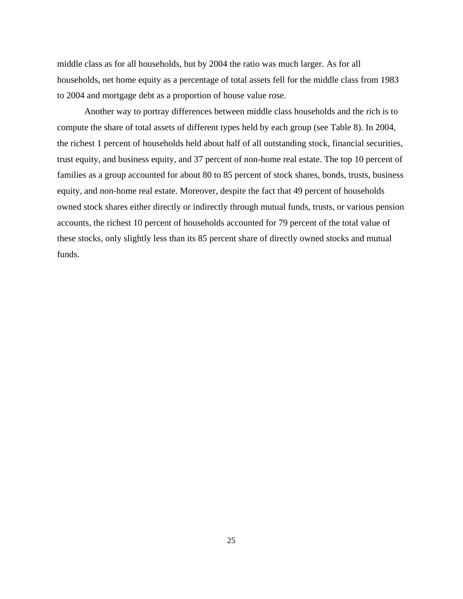middle class as for all households, but by 2004 the ratio was much larger. As for all households, net home equity as a percentage of total assets fell for the middle class from 1983 to 2004 and mortgage debt as a proportion of house value rose.

 Another way to portray differences between middle class households and the rich is to compute the share of total assets of different types held by each group (see Table 8). In 2004, the richest 1 percent of households held about half of all outstanding stock, financial securities, trust equity, and business equity, and 37 percent of non-home real estate. The top 10 percent of families as a group accounted for about 80 to 85 percent of stock shares, bonds, trusts, business equity, and non-home real estate. Moreover, despite the fact that 49 percent of households owned stock shares either directly or indirectly through mutual funds, trusts, or various pension accounts, the richest 10 percent of households accounted for 79 percent of the total value of these stocks, only slightly less than its 85 percent share of directly owned stocks and mutual funds.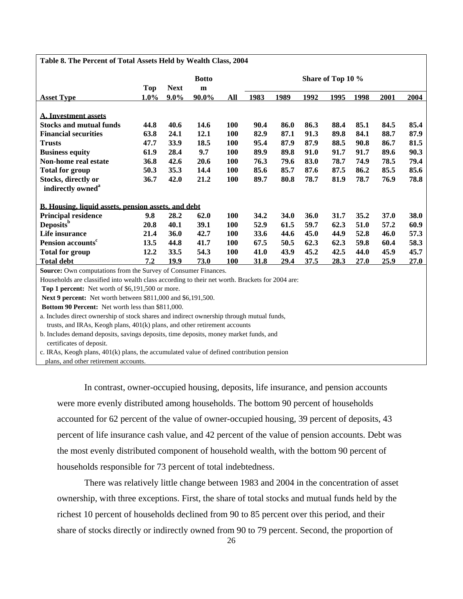#### **Table 8. The Percent of Total Assets Held by Wealth Class, 2004**

|                                                                                                  |                    |                        | <b>Botto</b>       |            |      |      |      | Share of Top 10 % |      |      |      |
|--------------------------------------------------------------------------------------------------|--------------------|------------------------|--------------------|------------|------|------|------|-------------------|------|------|------|
| <b>Asset Type</b>                                                                                | <b>Top</b><br>1.0% | <b>Next</b><br>$9.0\%$ | ${\bf m}$<br>90.0% | All        | 1983 | 1989 | 1992 | 1995              | 1998 | 2001 | 2004 |
|                                                                                                  |                    |                        |                    |            |      |      |      |                   |      |      |      |
| <b>A. Investment assets</b>                                                                      |                    |                        |                    |            |      |      |      |                   |      |      |      |
| <b>Stocks and mutual funds</b>                                                                   | 44.8               | 40.6                   | 14.6               | 100        | 90.4 | 86.0 | 86.3 | 88.4              | 85.1 | 84.5 | 85.4 |
| <b>Financial securities</b>                                                                      | 63.8               | 24.1                   | 12.1               | 100        | 82.9 | 87.1 | 91.3 | 89.8              | 84.1 | 88.7 | 87.9 |
| <b>Trusts</b>                                                                                    | 47.7               | 33.9                   | 18.5               | <b>100</b> | 95.4 | 87.9 | 87.9 | 88.5              | 90.8 | 86.7 | 81.5 |
| <b>Business equity</b>                                                                           | 61.9               | 28.4                   | 9.7                | <b>100</b> | 89.9 | 89.8 | 91.0 | 91.7              | 91.7 | 89.6 | 90.3 |
| Non-home real estate                                                                             | 36.8               | 42.6                   | 20.6               | 100        | 76.3 | 79.6 | 83.0 | 78.7              | 74.9 | 78.5 | 79.4 |
| <b>Total for group</b>                                                                           | 50.3               | 35.3                   | 14.4               | <b>100</b> | 85.6 | 85.7 | 87.6 | 87.5              | 86.2 | 85.5 | 85.6 |
| Stocks, directly or                                                                              | 36.7               | 42.0                   | 21.2               | 100        | 89.7 | 80.8 | 78.7 | 81.9              | 78.7 | 76.9 | 78.8 |
| indirectly owned <sup>a</sup>                                                                    |                    |                        |                    |            |      |      |      |                   |      |      |      |
|                                                                                                  |                    |                        |                    |            |      |      |      |                   |      |      |      |
| <b>B.</b> Housing, liquid assets, pension assets, and debt                                       |                    |                        |                    |            |      |      |      |                   |      |      |      |
| <b>Principal residence</b>                                                                       | 9.8                | 28.2                   | 62.0               | 100        | 34.2 | 34.0 | 36.0 | 31.7              | 35.2 | 37.0 | 38.0 |
| Deposits <sup>b</sup>                                                                            | 20.8               | 40.1                   | 39.1               | <b>100</b> | 52.9 | 61.5 | 59.7 | 62.3              | 51.0 | 57.2 | 60.9 |
| Life insurance                                                                                   | 21.4               | 36.0                   | 42.7               | 100        | 33.6 | 44.6 | 45.0 | 44.9              | 52.8 | 46.0 | 57.3 |
| Pension accounts <sup>c</sup>                                                                    | 13.5               | 44.8                   | 41.7               | 100        | 67.5 | 50.5 | 62.3 | 62.3              | 59.8 | 60.4 | 58.3 |
| <b>Total for group</b>                                                                           | 12.2               | 33.5                   | 54.3               | <b>100</b> | 41.0 | 43.9 | 45.2 | 42.5              | 44.0 | 45.9 | 45.7 |
| <b>Total debt</b>                                                                                | 7.2                | 19.9                   | 73.0               | 100        | 31.8 | 29.4 | 37.5 | 28.3              | 27.0 | 25.9 | 27.0 |
| <b>Source:</b> Own computations from the Survey of Consumer Finances.                            |                    |                        |                    |            |      |      |      |                   |      |      |      |
| Households are classified into wealth class according to their net worth. Brackets for 2004 are: |                    |                        |                    |            |      |      |      |                   |      |      |      |
| Top 1 percent: Net worth of \$6,191,500 or more.                                                 |                    |                        |                    |            |      |      |      |                   |      |      |      |
| Next 9 percent: Net worth between \$811,000 and \$6,191,500.                                     |                    |                        |                    |            |      |      |      |                   |      |      |      |
| Bottom 90 Percent: Net worth less than \$811,000.                                                |                    |                        |                    |            |      |      |      |                   |      |      |      |
| a. Includes direct ownership of stock shares and indirect ownership through mutual funds,        |                    |                        |                    |            |      |      |      |                   |      |      |      |
| trusts, and IRAs, Keogh plans, 401(k) plans, and other retirement accounts                       |                    |                        |                    |            |      |      |      |                   |      |      |      |
| b. Includes demand deposits, savings deposits, time deposits, money market funds, and            |                    |                        |                    |            |      |      |      |                   |      |      |      |
| certificates of deposit.                                                                         |                    |                        |                    |            |      |      |      |                   |      |      |      |

c. IRAs, Keogh plans, 401(k) plans, the accumulated value of defined contribution pension

plans, and other retirement accounts.

 In contrast, owner-occupied housing, deposits, life insurance, and pension accounts were more evenly distributed among households. The bottom 90 percent of households accounted for 62 percent of the value of owner-occupied housing, 39 percent of deposits, 43 percent of life insurance cash value, and 42 percent of the value of pension accounts. Debt was the most evenly distributed component of household wealth, with the bottom 90 percent of households responsible for 73 percent of total indebtedness.

 There was relatively little change between 1983 and 2004 in the concentration of asset ownership, with three exceptions. First, the share of total stocks and mutual funds held by the richest 10 percent of households declined from 90 to 85 percent over this period, and their share of stocks directly or indirectly owned from 90 to 79 percent. Second, the proportion of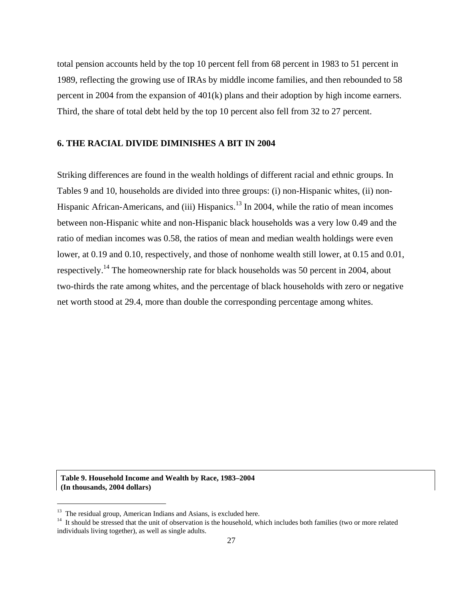total pension accounts held by the top 10 percent fell from 68 percent in 1983 to 51 percent in 1989, reflecting the growing use of IRAs by middle income families, and then rebounded to 58 percent in 2004 from the expansion of 401(k) plans and their adoption by high income earners. Third, the share of total debt held by the top 10 percent also fell from 32 to 27 percent.

### **6. THE RACIAL DIVIDE DIMINISHES A BIT IN 2004**

Striking differences are found in the wealth holdings of different racial and ethnic groups. In Tables 9 and 10, households are divided into three groups: (i) non-Hispanic whites, (ii) non-Hispanic African-Americans, and (iii) Hispanics.<sup>13</sup> In 2004, while the ratio of mean incomes between non-Hispanic white and non-Hispanic black households was a very low 0.49 and the ratio of median incomes was 0.58, the ratios of mean and median wealth holdings were even lower, at 0.19 and 0.10, respectively, and those of nonhome wealth still lower, at 0.15 and 0.01, respectively.<sup>14</sup> The homeownership rate for black households was 50 percent in 2004, about two-thirds the rate among whites, and the percentage of black households with zero or negative net worth stood at 29.4, more than double the corresponding percentage among whites.

**Table 9. Household Income and Wealth by Race, 1983–2004 (In thousands, 2004 dollars)** 

i<br>I

 $13$  The residual group, American Indians and Asians, is excluded here.

<sup>&</sup>lt;sup>14</sup> It should be stressed that the unit of observation is the household, which includes both families (two or more related individuals living together), as well as single adults.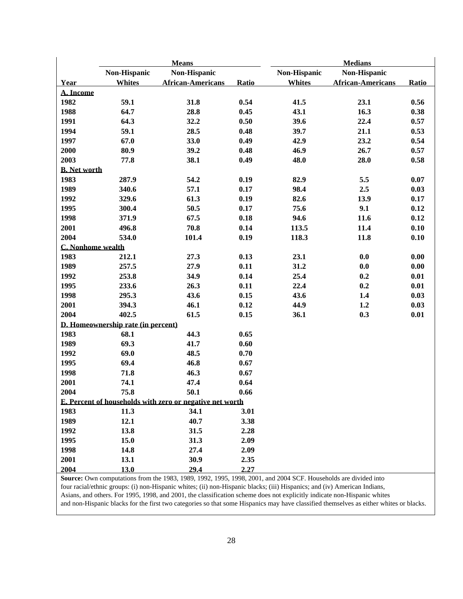|                     |                                    | <b>Means</b>                                             |       |               | <b>Medians</b>           |       |
|---------------------|------------------------------------|----------------------------------------------------------|-------|---------------|--------------------------|-------|
|                     | Non-Hispanic                       | Non-Hispanic                                             |       | Non-Hispanic  | Non-Hispanic             |       |
| Year                | <b>Whites</b>                      | <b>African-Americans</b>                                 | Ratio | <b>Whites</b> | <b>African-Americans</b> | Ratio |
| A. Income           |                                    |                                                          |       |               |                          |       |
| 1982                | 59.1                               | 31.8                                                     | 0.54  | 41.5          | 23.1                     | 0.56  |
| 1988                | 64.7                               | 28.8                                                     | 0.45  | 43.1          | 16.3                     | 0.38  |
| 1991                | 64.3                               | 32.2                                                     | 0.50  | 39.6          | 22.4                     | 0.57  |
| 1994                | 59.1                               | 28.5                                                     | 0.48  | 39.7          | 21.1                     | 0.53  |
| 1997                | 67.0                               | 33.0                                                     | 0.49  | 42.9          | 23.2                     | 0.54  |
| 2000                | 80.9                               | 39.2                                                     | 0.48  | 46.9          | 26.7                     | 0.57  |
| 2003                | 77.8                               | 38.1                                                     | 0.49  | 48.0          | 28.0                     | 0.58  |
| <b>B.</b> Net worth |                                    |                                                          |       |               |                          |       |
| 1983                | 287.9                              | 54.2                                                     | 0.19  | 82.9          | 5.5                      | 0.07  |
| 1989                | 340.6                              | 57.1                                                     | 0.17  | 98.4          | 2.5                      | 0.03  |
| 1992                | 329.6                              | 61.3                                                     | 0.19  | 82.6          | 13.9                     | 0.17  |
| 1995                | 300.4                              | 50.5                                                     | 0.17  | 75.6          | 9.1                      | 0.12  |
| 1998                | 371.9                              | 67.5                                                     | 0.18  | 94.6          | 11.6                     | 0.12  |
| 2001                | 496.8                              | 70.8                                                     | 0.14  | 113.5         | 11.4                     | 0.10  |
| 2004                | 534.0                              | 101.4                                                    | 0.19  | 118.3         | 11.8                     | 0.10  |
| C. Nonhome wealth   |                                    |                                                          |       |               |                          |       |
| 1983                | 212.1                              | 27.3                                                     | 0.13  | 23.1          | 0.0                      | 0.00  |
| 1989                | 257.5                              | 27.9                                                     | 0.11  | 31.2          | 0.0                      | 0.00  |
| 1992                | 253.8                              | 34.9                                                     | 0.14  | 25.4          | 0.2                      | 0.01  |
| 1995                | 233.6                              | 26.3                                                     | 0.11  | 22.4          | 0.2                      | 0.01  |
| 1998                | 295.3                              | 43.6                                                     | 0.15  | 43.6          | 1.4                      | 0.03  |
| 2001                | 394.3                              | 46.1                                                     | 0.12  | 44.9          | 1.2                      | 0.03  |
| 2004                | 402.5                              | 61.5                                                     | 0.15  | 36.1          | 0.3                      | 0.01  |
|                     | D. Homeownership rate (in percent) |                                                          |       |               |                          |       |
| 1983                | 68.1                               | 44.3                                                     | 0.65  |               |                          |       |
| 1989                | 69.3                               | 41.7                                                     | 0.60  |               |                          |       |
| 1992                | 69.0                               | 48.5                                                     | 0.70  |               |                          |       |
| 1995                | 69.4                               | 46.8                                                     | 0.67  |               |                          |       |
| 1998                | 71.8                               | 46.3                                                     | 0.67  |               |                          |       |
| 2001                | 74.1                               | 47.4                                                     | 0.64  |               |                          |       |
| 2004                | 75.8                               | 50.1                                                     | 0.66  |               |                          |       |
|                     |                                    | E. Percent of households with zero or negative net worth |       |               |                          |       |
| 1983                | 11.3                               | 34.1                                                     | 3.01  |               |                          |       |
| 1989                | 12.1                               | 40.7                                                     | 3.38  |               |                          |       |
| 1992                | 13.8                               | 31.5                                                     | 2.28  |               |                          |       |
| 1995                | 15.0                               | 31.3                                                     | 2.09  |               |                          |       |
| 1998                | 14.8                               | 27.4                                                     | 2.09  |               |                          |       |
| 2001                | 13.1                               | 30.9                                                     | 2.35  |               |                          |       |
| 2004                | 13.0                               | 29.4                                                     | 2.27  |               |                          |       |

**Source:** Own computations from the 1983, 1989, 1992, 1995, 1998, 2001, and 2004 SCF. Households are divided into four racial/ethnic groups: (i) non-Hispanic whites; (ii) non-Hispanic blacks; (iii) Hispanics; and (iv) American Indians, Asians, and others. For 1995, 1998, and 2001, the classification scheme does not explicitly indicate non-Hispanic whites and non-Hispanic blacks for the first two categories so that some Hispanics may have classified themselves as either whites or blacks.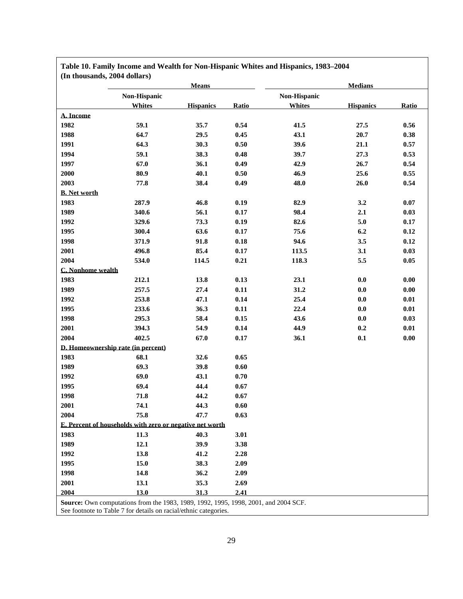|                          | <b>Means</b>                                             |                  |          | <b>Medians</b> |                  |                     |  |  |  |
|--------------------------|----------------------------------------------------------|------------------|----------|----------------|------------------|---------------------|--|--|--|
|                          | Non-Hispanic                                             |                  |          |                | Non-Hispanic     |                     |  |  |  |
|                          | <b>Whites</b>                                            | <b>Hispanics</b> | Ratio    | <b>Whites</b>  | <b>Hispanics</b> | Ratio               |  |  |  |
| A. Income                |                                                          |                  |          |                |                  |                     |  |  |  |
| 1982                     | 59.1                                                     | 35.7             | 0.54     | 41.5           | 27.5             | 0.56                |  |  |  |
| 1988                     | 64.7                                                     | 29.5             | 0.45     | 43.1           | 20.7             | 0.38                |  |  |  |
| 1991                     | 64.3                                                     | 30.3             | 0.50     | 39.6           | 21.1             | 0.57                |  |  |  |
| 1994                     | 59.1                                                     | 38.3             | 0.48     | 39.7           | 27.3             | 0.53                |  |  |  |
| 1997                     | 67.0                                                     | 36.1             | 0.49     | 42.9           | 26.7             | 0.54                |  |  |  |
| 2000                     | 80.9                                                     | 40.1             | 0.50     | 46.9           | 25.6             | 0.55                |  |  |  |
| 2003                     | 77.8                                                     | 38.4             | 0.49     | 48.0           | 26.0             | 0.54                |  |  |  |
| <b>B.</b> Net worth      |                                                          |                  |          |                |                  |                     |  |  |  |
| 1983                     | 287.9                                                    | 46.8             | 0.19     | 82.9           | 3.2              | 0.07                |  |  |  |
| 1989                     | 340.6                                                    | 56.1             | 0.17     | 98.4           | 2.1              | 0.03                |  |  |  |
| 1992                     | 329.6                                                    | 73.3             | 0.19     | 82.6           | 5.0              | 0.17                |  |  |  |
| 1995                     | 300.4                                                    | 63.6             | 0.17     | 75.6           | 6.2              | $0.12\,$            |  |  |  |
| 1998                     | 371.9                                                    | 91.8             | $0.18\,$ | 94.6           | 3.5              | $0.12\,$            |  |  |  |
| 2001                     | 496.8                                                    | 85.4             | 0.17     | 113.5          | 3.1              | 0.03                |  |  |  |
| 2004                     | 534.0                                                    | 114.5            | 0.21     | 118.3          | 5.5              | $0.05\,$            |  |  |  |
| <b>C.</b> Nonhome wealth |                                                          |                  |          |                |                  |                     |  |  |  |
| 1983                     | 212.1                                                    | 13.8             | 0.13     | 23.1           | 0.0              | 0.00                |  |  |  |
| 1989                     | 257.5                                                    | 27.4             | 0.11     | 31.2           | 0.0              | $0.00\,$            |  |  |  |
| 1992                     | 253.8                                                    | 47.1             | 0.14     | 25.4           | 0.0              | $0.01\,$            |  |  |  |
| 1995                     | 233.6                                                    | 36.3             | 0.11     | 22.4           | $\mathbf{0.0}$   | $0.01\,$            |  |  |  |
| 1998                     | 295.3                                                    | 58.4             | 0.15     | 43.6           | 0.0              | 0.03                |  |  |  |
| 2001                     | 394.3                                                    | 54.9             | 0.14     | 44.9           | 0.2              | $0.01\,$            |  |  |  |
| 2004                     | 402.5                                                    | 67.0             | 0.17     | 36.1           | 0.1              | $\boldsymbol{0.00}$ |  |  |  |
|                          | D. Homeownership rate (in percent)                       |                  |          |                |                  |                     |  |  |  |
| 1983                     | 68.1                                                     | 32.6             | 0.65     |                |                  |                     |  |  |  |
| 1989                     | 69.3                                                     | 39.8             | $0.60\,$ |                |                  |                     |  |  |  |
| 1992                     | 69.0                                                     | 43.1             | 0.70     |                |                  |                     |  |  |  |
| 1995                     | 69.4                                                     | 44.4             | $0.67\,$ |                |                  |                     |  |  |  |
| 1998                     | 71.8                                                     | 44.2             | $0.67\,$ |                |                  |                     |  |  |  |
| 2001                     | 74.1                                                     | 44.3             | $0.60\,$ |                |                  |                     |  |  |  |
| 2004                     | 75.8                                                     | 47.7             | 0.63     |                |                  |                     |  |  |  |
|                          | E. Percent of households with zero or negative net worth |                  |          |                |                  |                     |  |  |  |
| 1983                     | 11.3                                                     | 40.3             | 3.01     |                |                  |                     |  |  |  |
| 1989                     | 12.1                                                     | 39.9             | 3.38     |                |                  |                     |  |  |  |
| 1992                     | 13.8                                                     | 41.2             | 2.28     |                |                  |                     |  |  |  |
| 1995                     | 15.0                                                     | 38.3             | 2.09     |                |                  |                     |  |  |  |
| 1998                     | 14.8                                                     | 36.2             | 2.09     |                |                  |                     |  |  |  |
| 2001                     | 13.1                                                     | 35.3             | 2.69     |                |                  |                     |  |  |  |
| 2004                     | 13.0                                                     | 31.3             | 2.41     |                |                  |                     |  |  |  |

**Table 10. Family Income and Wealth for Non-Hispanic Whites and Hispanics, 1983–2004**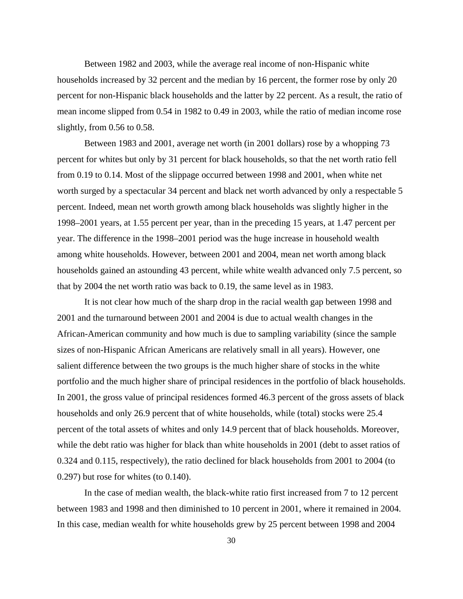Between 1982 and 2003, while the average real income of non-Hispanic white households increased by 32 percent and the median by 16 percent, the former rose by only 20 percent for non-Hispanic black households and the latter by 22 percent. As a result, the ratio of mean income slipped from 0.54 in 1982 to 0.49 in 2003, while the ratio of median income rose slightly, from 0.56 to 0.58.

 Between 1983 and 2001, average net worth (in 2001 dollars) rose by a whopping 73 percent for whites but only by 31 percent for black households, so that the net worth ratio fell from 0.19 to 0.14. Most of the slippage occurred between 1998 and 2001, when white net worth surged by a spectacular 34 percent and black net worth advanced by only a respectable 5 percent. Indeed, mean net worth growth among black households was slightly higher in the 1998–2001 years, at 1.55 percent per year, than in the preceding 15 years, at 1.47 percent per year. The difference in the 1998–2001 period was the huge increase in household wealth among white households. However, between 2001 and 2004, mean net worth among black households gained an astounding 43 percent, while white wealth advanced only 7.5 percent, so that by 2004 the net worth ratio was back to 0.19, the same level as in 1983.

It is not clear how much of the sharp drop in the racial wealth gap between 1998 and 2001 and the turnaround between 2001 and 2004 is due to actual wealth changes in the African-American community and how much is due to sampling variability (since the sample sizes of non-Hispanic African Americans are relatively small in all years). However, one salient difference between the two groups is the much higher share of stocks in the white portfolio and the much higher share of principal residences in the portfolio of black households. In 2001, the gross value of principal residences formed 46.3 percent of the gross assets of black households and only 26.9 percent that of white households, while (total) stocks were 25.4 percent of the total assets of whites and only 14.9 percent that of black households. Moreover, while the debt ratio was higher for black than white households in 2001 (debt to asset ratios of 0.324 and 0.115, respectively), the ratio declined for black households from 2001 to 2004 (to 0.297) but rose for whites (to 0.140).

In the case of median wealth, the black-white ratio first increased from 7 to 12 percent between 1983 and 1998 and then diminished to 10 percent in 2001, where it remained in 2004. In this case, median wealth for white households grew by 25 percent between 1998 and 2004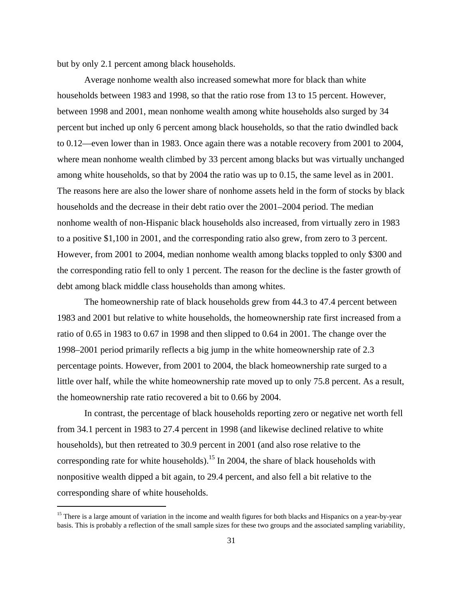but by only 2.1 percent among black households.

 Average nonhome wealth also increased somewhat more for black than white households between 1983 and 1998, so that the ratio rose from 13 to 15 percent. However, between 1998 and 2001, mean nonhome wealth among white households also surged by 34 percent but inched up only 6 percent among black households, so that the ratio dwindled back to 0.12—even lower than in 1983. Once again there was a notable recovery from 2001 to 2004, where mean nonhome wealth climbed by 33 percent among blacks but was virtually unchanged among white households, so that by 2004 the ratio was up to 0.15, the same level as in 2001. The reasons here are also the lower share of nonhome assets held in the form of stocks by black households and the decrease in their debt ratio over the 2001–2004 period. The median nonhome wealth of non-Hispanic black households also increased, from virtually zero in 1983 to a positive \$1,100 in 2001, and the corresponding ratio also grew, from zero to 3 percent. However, from 2001 to 2004, median nonhome wealth among blacks toppled to only \$300 and the corresponding ratio fell to only 1 percent. The reason for the decline is the faster growth of debt among black middle class households than among whites.

The homeownership rate of black households grew from 44.3 to 47.4 percent between 1983 and 2001 but relative to white households, the homeownership rate first increased from a ratio of 0.65 in 1983 to 0.67 in 1998 and then slipped to 0.64 in 2001. The change over the 1998–2001 period primarily reflects a big jump in the white homeownership rate of 2.3 percentage points. However, from 2001 to 2004, the black homeownership rate surged to a little over half, while the white homeownership rate moved up to only 75.8 percent. As a result, the homeownership rate ratio recovered a bit to 0.66 by 2004.

In contrast, the percentage of black households reporting zero or negative net worth fell from 34.1 percent in 1983 to 27.4 percent in 1998 (and likewise declined relative to white households), but then retreated to 30.9 percent in 2001 (and also rose relative to the corresponding rate for white households).<sup>15</sup> In 2004, the share of black households with nonpositive wealth dipped a bit again, to 29.4 percent, and also fell a bit relative to the corresponding share of white households.

i<br>I

<sup>&</sup>lt;sup>15</sup> There is a large amount of variation in the income and wealth figures for both blacks and Hispanics on a year-by-year basis. This is probably a reflection of the small sample sizes for these two groups and the associated sampling variability,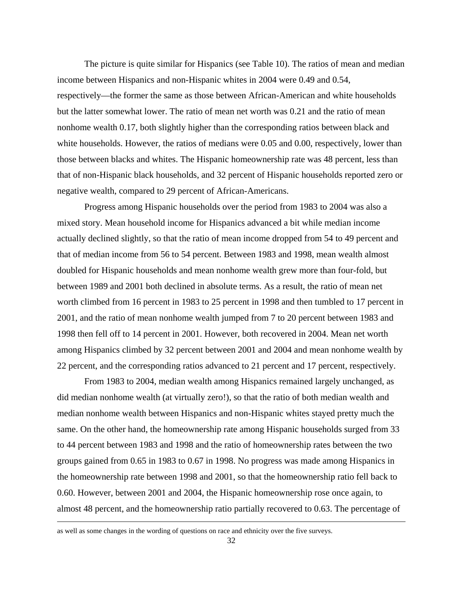The picture is quite similar for Hispanics (see Table 10). The ratios of mean and median income between Hispanics and non-Hispanic whites in 2004 were 0.49 and 0.54, respectively—the former the same as those between African-American and white households but the latter somewhat lower. The ratio of mean net worth was 0.21 and the ratio of mean nonhome wealth 0.17, both slightly higher than the corresponding ratios between black and white households. However, the ratios of medians were 0.05 and 0.00, respectively, lower than those between blacks and whites. The Hispanic homeownership rate was 48 percent, less than that of non-Hispanic black households, and 32 percent of Hispanic households reported zero or negative wealth, compared to 29 percent of African-Americans.

 Progress among Hispanic households over the period from 1983 to 2004 was also a mixed story. Mean household income for Hispanics advanced a bit while median income actually declined slightly, so that the ratio of mean income dropped from 54 to 49 percent and that of median income from 56 to 54 percent. Between 1983 and 1998, mean wealth almost doubled for Hispanic households and mean nonhome wealth grew more than four-fold, but between 1989 and 2001 both declined in absolute terms. As a result, the ratio of mean net worth climbed from 16 percent in 1983 to 25 percent in 1998 and then tumbled to 17 percent in 2001, and the ratio of mean nonhome wealth jumped from 7 to 20 percent between 1983 and 1998 then fell off to 14 percent in 2001. However, both recovered in 2004. Mean net worth among Hispanics climbed by 32 percent between 2001 and 2004 and mean nonhome wealth by 22 percent, and the corresponding ratios advanced to 21 percent and 17 percent, respectively.

From 1983 to 2004, median wealth among Hispanics remained largely unchanged, as did median nonhome wealth (at virtually zero!), so that the ratio of both median wealth and median nonhome wealth between Hispanics and non-Hispanic whites stayed pretty much the same. On the other hand, the homeownership rate among Hispanic households surged from 33 to 44 percent between 1983 and 1998 and the ratio of homeownership rates between the two groups gained from 0.65 in 1983 to 0.67 in 1998. No progress was made among Hispanics in the homeownership rate between 1998 and 2001, so that the homeownership ratio fell back to 0.60. However, between 2001 and 2004, the Hispanic homeownership rose once again, to almost 48 percent, and the homeownership ratio partially recovered to 0.63. The percentage of

i

as well as some changes in the wording of questions on race and ethnicity over the five surveys.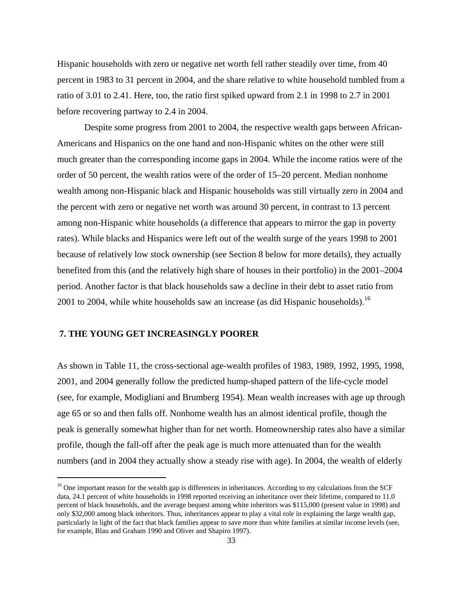Hispanic households with zero or negative net worth fell rather steadily over time, from 40 percent in 1983 to 31 percent in 2004, and the share relative to white household tumbled from a ratio of 3.01 to 2.41. Here, too, the ratio first spiked upward from 2.1 in 1998 to 2.7 in 2001 before recovering partway to 2.4 in 2004.

 Despite some progress from 2001 to 2004, the respective wealth gaps between African-Americans and Hispanics on the one hand and non-Hispanic whites on the other were still much greater than the corresponding income gaps in 2004. While the income ratios were of the order of 50 percent, the wealth ratios were of the order of 15–20 percent. Median nonhome wealth among non-Hispanic black and Hispanic households was still virtually zero in 2004 and the percent with zero or negative net worth was around 30 percent, in contrast to 13 percent among non-Hispanic white households (a difference that appears to mirror the gap in poverty rates). While blacks and Hispanics were left out of the wealth surge of the years 1998 to 2001 because of relatively low stock ownership (see Section 8 below for more details), they actually benefited from this (and the relatively high share of houses in their portfolio) in the 2001–2004 period. Another factor is that black households saw a decline in their debt to asset ratio from 2001 to 2004, while white households saw an increase (as did Hispanic households).<sup>16</sup>

#### **7. THE YOUNG GET INCREASINGLY POORER**

i<br>I

As shown in Table 11, the cross-sectional age-wealth profiles of 1983, 1989, 1992, 1995, 1998, 2001, and 2004 generally follow the predicted hump-shaped pattern of the life-cycle model (see, for example, Modigliani and Brumberg 1954). Mean wealth increases with age up through age 65 or so and then falls off. Nonhome wealth has an almost identical profile, though the peak is generally somewhat higher than for net worth. Homeownership rates also have a similar profile, though the fall-off after the peak age is much more attenuated than for the wealth numbers (and in 2004 they actually show a steady rise with age). In 2004, the wealth of elderly

 $16$  One important reason for the wealth gap is differences in inheritances. According to my calculations from the SCF data, 24.1 percent of white households in 1998 reported receiving an inheritance over their lifetime, compared to 11.0 percent of black households, and the average bequest among white inheritors was \$115,000 (present value in 1998) and only \$32,000 among black inheritors. Thus, inheritances appear to play a vital role in explaining the large wealth gap, particularly in light of the fact that black families appear to save more than white families at similar income levels (see, for example, Blau and Graham 1990 and Oliver and Shapiro 1997).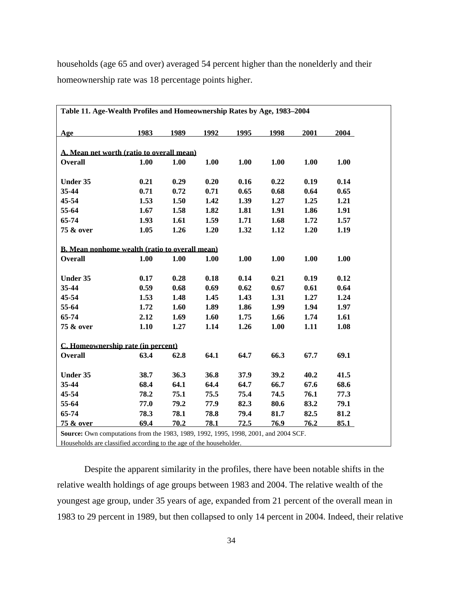households (age 65 and over) averaged 54 percent higher than the nonelderly and their homeownership rate was 18 percentage points higher.

| Table 11. Age-Wealth Profiles and Homeownership Rates by Age, 1983-2004                          |      |      |      |      |      |      |      |  |
|--------------------------------------------------------------------------------------------------|------|------|------|------|------|------|------|--|
| Age                                                                                              | 1983 | 1989 | 1992 | 1995 | 1998 | 2001 | 2004 |  |
|                                                                                                  |      |      |      |      |      |      |      |  |
| A. Mean net worth (ratio to overall mean)                                                        |      |      |      |      |      |      |      |  |
| <b>Overall</b>                                                                                   | 1.00 | 1.00 | 1.00 | 1.00 | 1.00 | 1.00 | 1.00 |  |
|                                                                                                  |      |      |      |      |      |      |      |  |
| Under 35                                                                                         | 0.21 | 0.29 | 0.20 | 0.16 | 0.22 | 0.19 | 0.14 |  |
| 35-44                                                                                            | 0.71 | 0.72 | 0.71 | 0.65 | 0.68 | 0.64 | 0.65 |  |
| 45-54                                                                                            | 1.53 | 1.50 | 1.42 | 1.39 | 1.27 | 1.25 | 1.21 |  |
| 55-64                                                                                            | 1.67 | 1.58 | 1.82 | 1.81 | 1.91 | 1.86 | 1.91 |  |
| 65-74                                                                                            | 1.93 | 1.61 | 1.59 | 1.71 | 1.68 | 1.72 | 1.57 |  |
| 75 & over                                                                                        | 1.05 | 1.26 | 1.20 | 1.32 | 1.12 | 1.20 | 1.19 |  |
|                                                                                                  |      |      |      |      |      |      |      |  |
| B. Mean nonhome wealth (ratio to overall mean)                                                   |      |      |      |      |      |      |      |  |
| <b>Overall</b>                                                                                   | 1.00 | 1.00 | 1.00 | 1.00 | 1.00 | 1.00 | 1.00 |  |
|                                                                                                  |      |      |      |      |      |      |      |  |
| <b>Under 35</b>                                                                                  | 0.17 | 0.28 | 0.18 | 0.14 | 0.21 | 0.19 | 0.12 |  |
| 35-44                                                                                            | 0.59 | 0.68 | 0.69 | 0.62 | 0.67 | 0.61 | 0.64 |  |
| 45-54                                                                                            | 1.53 | 1.48 | 1.45 | 1.43 | 1.31 | 1.27 | 1.24 |  |
| 55-64                                                                                            | 1.72 | 1.60 | 1.89 | 1.86 | 1.99 | 1.94 | 1.97 |  |
| 65-74                                                                                            | 2.12 | 1.69 | 1.60 | 1.75 | 1.66 | 1.74 | 1.61 |  |
| 75 & over                                                                                        | 1.10 | 1.27 | 1.14 | 1.26 | 1.00 | 1.11 | 1.08 |  |
|                                                                                                  |      |      |      |      |      |      |      |  |
| C. Homeownership rate (in percent)                                                               |      |      |      |      |      |      |      |  |
| <b>Overall</b>                                                                                   | 63.4 | 62.8 | 64.1 | 64.7 | 66.3 | 67.7 | 69.1 |  |
|                                                                                                  |      |      |      |      |      |      |      |  |
| <b>Under 35</b>                                                                                  | 38.7 | 36.3 | 36.8 | 37.9 | 39.2 | 40.2 | 41.5 |  |
| 35-44                                                                                            | 68.4 | 64.1 | 64.4 | 64.7 | 66.7 | 67.6 | 68.6 |  |
| 45-54                                                                                            | 78.2 | 75.1 | 75.5 | 75.4 | 74.5 | 76.1 | 77.3 |  |
| 55-64                                                                                            | 77.0 | 79.2 | 77.9 | 82.3 | 80.6 | 83.2 | 79.1 |  |
| 65-74                                                                                            | 78.3 | 78.1 | 78.8 | 79.4 | 81.7 | 82.5 | 81.2 |  |
| 75 & over<br>Source: Own computations from the 1983, 1989, 1992, 1995, 1998, 2001, and 2004 SCF. | 69.4 | 70.2 | 78.1 | 72.5 | 76.9 | 76.2 | 85.1 |  |

Households are classified according to the age of the householder.

 Despite the apparent similarity in the profiles, there have been notable shifts in the relative wealth holdings of age groups between 1983 and 2004. The relative wealth of the youngest age group, under 35 years of age, expanded from 21 percent of the overall mean in 1983 to 29 percent in 1989, but then collapsed to only 14 percent in 2004. Indeed, their relative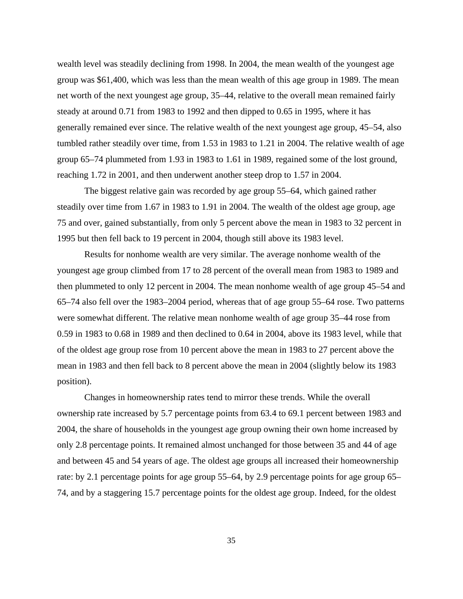wealth level was steadily declining from 1998. In 2004, the mean wealth of the youngest age group was \$61,400, which was less than the mean wealth of this age group in 1989. The mean net worth of the next youngest age group, 35–44, relative to the overall mean remained fairly steady at around 0.71 from 1983 to 1992 and then dipped to 0.65 in 1995, where it has generally remained ever since. The relative wealth of the next youngest age group, 45–54, also tumbled rather steadily over time, from 1.53 in 1983 to 1.21 in 2004. The relative wealth of age group 65–74 plummeted from 1.93 in 1983 to 1.61 in 1989, regained some of the lost ground, reaching 1.72 in 2001, and then underwent another steep drop to 1.57 in 2004.

 The biggest relative gain was recorded by age group 55–64, which gained rather steadily over time from 1.67 in 1983 to 1.91 in 2004. The wealth of the oldest age group, age 75 and over, gained substantially, from only 5 percent above the mean in 1983 to 32 percent in 1995 but then fell back to 19 percent in 2004, though still above its 1983 level.

Results for nonhome wealth are very similar. The average nonhome wealth of the youngest age group climbed from 17 to 28 percent of the overall mean from 1983 to 1989 and then plummeted to only 12 percent in 2004. The mean nonhome wealth of age group 45–54 and 65–74 also fell over the 1983–2004 period, whereas that of age group 55–64 rose. Two patterns were somewhat different. The relative mean nonhome wealth of age group 35–44 rose from 0.59 in 1983 to 0.68 in 1989 and then declined to 0.64 in 2004, above its 1983 level, while that of the oldest age group rose from 10 percent above the mean in 1983 to 27 percent above the mean in 1983 and then fell back to 8 percent above the mean in 2004 (slightly below its 1983 position).

 Changes in homeownership rates tend to mirror these trends. While the overall ownership rate increased by 5.7 percentage points from 63.4 to 69.1 percent between 1983 and 2004, the share of households in the youngest age group owning their own home increased by only 2.8 percentage points. It remained almost unchanged for those between 35 and 44 of age and between 45 and 54 years of age. The oldest age groups all increased their homeownership rate: by 2.1 percentage points for age group 55–64, by 2.9 percentage points for age group 65– 74, and by a staggering 15.7 percentage points for the oldest age group. Indeed, for the oldest

35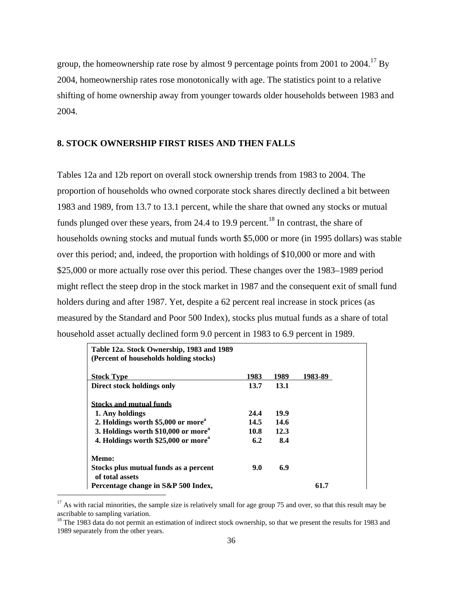group, the homeownership rate rose by almost 9 percentage points from 2001 to 2004.<sup>17</sup> By 2004, homeownership rates rose monotonically with age. The statistics point to a relative shifting of home ownership away from younger towards older households between 1983 and 2004.

# **8. STOCK OWNERSHIP FIRST RISES AND THEN FALLS**

Tables 12a and 12b report on overall stock ownership trends from 1983 to 2004. The proportion of households who owned corporate stock shares directly declined a bit between 1983 and 1989, from 13.7 to 13.1 percent, while the share that owned any stocks or mutual funds plunged over these years, from 24.4 to 19.9 percent.<sup>18</sup> In contrast, the share of households owning stocks and mutual funds worth \$5,000 or more (in 1995 dollars) was stable over this period; and, indeed, the proportion with holdings of \$10,000 or more and with \$25,000 or more actually rose over this period. These changes over the 1983–1989 period might reflect the steep drop in the stock market in 1987 and the consequent exit of small fund holders during and after 1987. Yet, despite a 62 percent real increase in stock prices (as measured by the Standard and Poor 500 Index), stocks plus mutual funds as a share of total household asset actually declined form 9.0 percent in 1983 to 6.9 percent in 1989.

| Table 12a. Stock Ownership, 1983 and 1989<br>(Percent of households holding stocks) |      |      |         |
|-------------------------------------------------------------------------------------|------|------|---------|
| <b>Stock Type</b>                                                                   | 1983 | 1989 | 1983-89 |
| Direct stock holdings only                                                          | 13.7 | 13.1 |         |
| <b>Stocks and mutual funds</b>                                                      |      |      |         |
| 1. Any holdings                                                                     | 24.4 | 19.9 |         |
| 2. Holdings worth \$5,000 or more <sup>4</sup>                                      | 14.5 | 14.6 |         |
| 3. Holdings worth \$10,000 or more <sup>a</sup>                                     | 10.8 | 12.3 |         |
| 4. Holdings worth \$25,000 or more <sup>a</sup>                                     | 6.2  | 8.4  |         |
| Memo:                                                                               |      |      |         |
| Stocks plus mutual funds as a percent<br>of total assets                            | 9.0  | 6.9  |         |
| Percentage change in S&P 500 Index,                                                 |      |      | 61.7    |

 $17$  As with racial minorities, the sample size is relatively small for age group 75 and over, so that this result may be ascribable to sampling variation.

i<br>I

<sup>&</sup>lt;sup>18</sup> The 1983 data do not permit an estimation of indirect stock ownership, so that we present the results for 1983 and 1989 separately from the other years.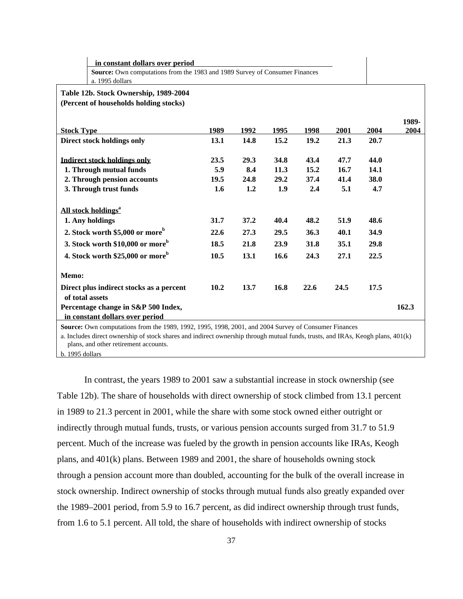|                                       | in constant dollars over period                                             |      |      |      |      |      |      |               |  |
|---------------------------------------|-----------------------------------------------------------------------------|------|------|------|------|------|------|---------------|--|
|                                       | Source: Own computations from the 1983 and 1989 Survey of Consumer Finances |      |      |      |      |      |      |               |  |
|                                       | a. 1995 dollars                                                             |      |      |      |      |      |      |               |  |
| Table 12b. Stock Ownership, 1989-2004 |                                                                             |      |      |      |      |      |      |               |  |
|                                       | (Percent of households holding stocks)                                      |      |      |      |      |      |      |               |  |
|                                       |                                                                             |      |      |      |      |      |      |               |  |
| <b>Stock Type</b>                     |                                                                             | 1989 | 1992 | 1995 | 1998 | 2001 | 2004 | 1989-<br>2004 |  |
|                                       | Direct stock holdings only                                                  | 13.1 | 14.8 | 15.2 | 19.2 | 21.3 | 20.7 |               |  |
|                                       |                                                                             |      |      |      |      |      |      |               |  |
|                                       | <b>Indirect stock holdings only</b>                                         | 23.5 | 29.3 | 34.8 | 43.4 | 47.7 | 44.0 |               |  |
|                                       | 1. Through mutual funds                                                     | 5.9  | 8.4  | 11.3 | 15.2 | 16.7 | 14.1 |               |  |
|                                       | 2. Through pension accounts                                                 | 19.5 | 24.8 | 29.2 | 37.4 | 41.4 | 38.0 |               |  |
|                                       | 3. Through trust funds                                                      | 1.6  | 1.2  | 1.9  | 2.4  | 5.1  | 4.7  |               |  |
|                                       | All stock holdings <sup>a</sup>                                             |      |      |      |      |      |      |               |  |
|                                       | 1. Any holdings                                                             | 31.7 | 37.2 | 40.4 | 48.2 | 51.9 | 48.6 |               |  |
|                                       | 2. Stock worth \$5,000 or more <sup>b</sup>                                 | 22.6 | 27.3 | 29.5 | 36.3 | 40.1 | 34.9 |               |  |
|                                       | 3. Stock worth \$10,000 or more <sup>b</sup>                                | 18.5 | 21.8 | 23.9 | 31.8 | 35.1 | 29.8 |               |  |
|                                       | 4. Stock worth \$25,000 or more <sup>b</sup>                                | 10.5 | 13.1 | 16.6 | 24.3 | 27.1 | 22.5 |               |  |
| Memo:                                 |                                                                             |      |      |      |      |      |      |               |  |
| of total assets                       | Direct plus indirect stocks as a percent                                    | 10.2 | 13.7 | 16.8 | 22.6 | 24.5 | 17.5 |               |  |
|                                       | Percentage change in S&P 500 Index,<br>in constant dollars over period      |      |      |      |      |      |      | 162.3         |  |

 $\mathbf{I}$ 

**Source:** Own computations from the 1989, 1992, 1995, 1998, 2001, and 2004 Survey of Consumer Finances

a. Includes direct ownership of stock shares and indirect ownership through mutual funds, trusts, and IRAs, Keogh plans, 401(k) plans, and other retirement accounts.

b. 1995 dollars

In contrast, the years 1989 to 2001 saw a substantial increase in stock ownership (see Table 12b). The share of households with direct ownership of stock climbed from 13.1 percent in 1989 to 21.3 percent in 2001, while the share with some stock owned either outright or indirectly through mutual funds, trusts, or various pension accounts surged from 31.7 to 51.9 percent. Much of the increase was fueled by the growth in pension accounts like IRAs, Keogh plans, and 401(k) plans. Between 1989 and 2001, the share of households owning stock through a pension account more than doubled, accounting for the bulk of the overall increase in stock ownership. Indirect ownership of stocks through mutual funds also greatly expanded over the 1989–2001 period, from 5.9 to 16.7 percent, as did indirect ownership through trust funds, from 1.6 to 5.1 percent. All told, the share of households with indirect ownership of stocks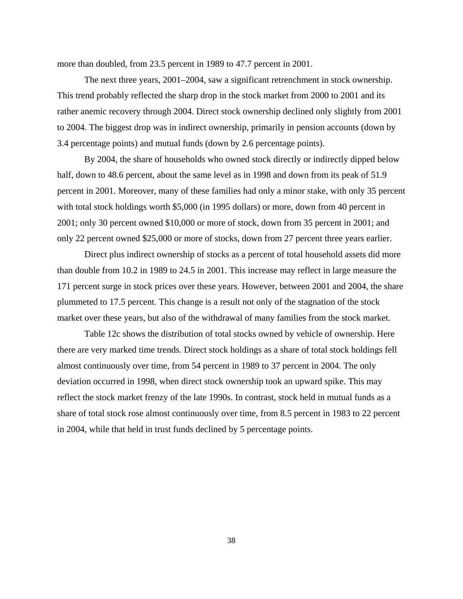more than doubled, from 23.5 percent in 1989 to 47.7 percent in 2001.

The next three years, 2001–2004, saw a significant retrenchment in stock ownership. This trend probably reflected the sharp drop in the stock market from 2000 to 2001 and its rather anemic recovery through 2004. Direct stock ownership declined only slightly from 2001 to 2004. The biggest drop was in indirect ownership, primarily in pension accounts (down by 3.4 percentage points) and mutual funds (down by 2.6 percentage points).

By 2004, the share of households who owned stock directly or indirectly dipped below half, down to 48.6 percent, about the same level as in 1998 and down from its peak of 51.9 percent in 2001. Moreover, many of these families had only a minor stake, with only 35 percent with total stock holdings worth \$5,000 (in 1995 dollars) or more, down from 40 percent in 2001; only 30 percent owned \$10,000 or more of stock, down from 35 percent in 2001; and only 22 percent owned \$25,000 or more of stocks, down from 27 percent three years earlier.

Direct plus indirect ownership of stocks as a percent of total household assets did more than double from 10.2 in 1989 to 24.5 in 2001. This increase may reflect in large measure the 171 percent surge in stock prices over these years. However, between 2001 and 2004, the share plummeted to 17.5 percent. This change is a result not only of the stagnation of the stock market over these years, but also of the withdrawal of many families from the stock market.

Table 12c shows the distribution of total stocks owned by vehicle of ownership. Here there are very marked time trends. Direct stock holdings as a share of total stock holdings fell almost continuously over time, from 54 percent in 1989 to 37 percent in 2004. The only deviation occurred in 1998, when direct stock ownership took an upward spike. This may reflect the stock market frenzy of the late 1990s. In contrast, stock held in mutual funds as a share of total stock rose almost continuously over time, from 8.5 percent in 1983 to 22 percent in 2004, while that held in trust funds declined by 5 percentage points.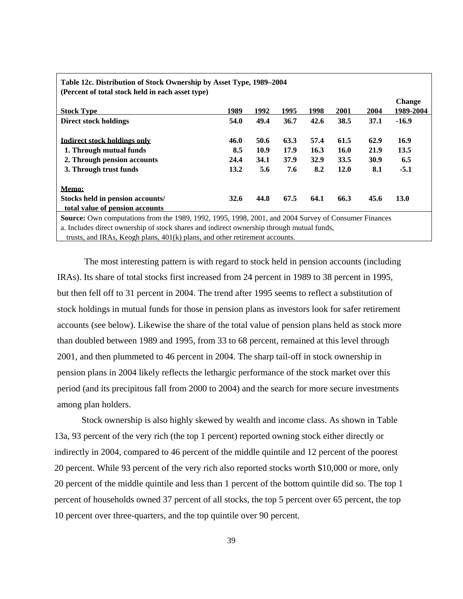| (Percent of total stock held in each asset type)                                                                                                                                                                       |      |      |      |      |      |      | <b>Change</b> |
|------------------------------------------------------------------------------------------------------------------------------------------------------------------------------------------------------------------------|------|------|------|------|------|------|---------------|
| <b>Stock Type</b>                                                                                                                                                                                                      | 1989 | 1992 | 1995 | 1998 | 2001 | 2004 | 1989-2004     |
| <b>Direct stock holdings</b>                                                                                                                                                                                           | 54.0 | 49.4 | 36.7 | 42.6 | 38.5 | 37.1 | $-16.9$       |
| Indirect stock holdings only                                                                                                                                                                                           | 46.0 | 50.6 | 63.3 | 57.4 | 61.5 | 62.9 | 16.9          |
| 1. Through mutual funds                                                                                                                                                                                                | 8.5  | 10.9 | 17.9 | 16.3 | 16.0 | 21.9 | 13.5          |
| 2. Through pension accounts                                                                                                                                                                                            | 24.4 | 34.1 | 37.9 | 32.9 | 33.5 | 30.9 | 6.5           |
| 3. Through trust funds                                                                                                                                                                                                 | 13.2 | 5.6  | 7.6  | 8.2  | 12.0 | 8.1  | $-5.1$        |
| Memo:                                                                                                                                                                                                                  |      |      |      |      |      |      |               |
| Stocks held in pension accounts/                                                                                                                                                                                       | 32.6 | 44.8 | 67.5 | 64.1 | 66.3 | 45.6 | 13.0          |
| total value of pension accounts                                                                                                                                                                                        |      |      |      |      |      |      |               |
| Source: Own computations from the 1989, 1992, 1995, 1998, 2001, and 2004 Survey of Consumer Finances<br>a - Taraha dan dibarat masarasahin ng starahasi sinasan ng dibadimant masarasahin tinggani masatang filam da - |      |      |      |      |      |      |               |

# **Table 12c. Distribution of Stock Ownership by Asset Type, 1989–2004**

a. Includes direct ownership of stock shares and indirect ownership through mutual funds,

trusts, and IRAs, Keogh plans, 401(k) plans, and other retirement accounts.

The most interesting pattern is with regard to stock held in pension accounts (including IRAs). Its share of total stocks first increased from 24 percent in 1989 to 38 percent in 1995, but then fell off to 31 percent in 2004. The trend after 1995 seems to reflect a substitution of stock holdings in mutual funds for those in pension plans as investors look for safer retirement accounts (see below). Likewise the share of the total value of pension plans held as stock more than doubled between 1989 and 1995, from 33 to 68 percent, remained at this level through 2001, and then plummeted to 46 percent in 2004. The sharp tail-off in stock ownership in pension plans in 2004 likely reflects the lethargic performance of the stock market over this period (and its precipitous fall from 2000 to 2004) and the search for more secure investments among plan holders.

 Stock ownership is also highly skewed by wealth and income class. As shown in Table 13a, 93 percent of the very rich (the top 1 percent) reported owning stock either directly or indirectly in 2004, compared to 46 percent of the middle quintile and 12 percent of the poorest 20 percent. While 93 percent of the very rich also reported stocks worth \$10,000 or more, only 20 percent of the middle quintile and less than 1 percent of the bottom quintile did so. The top 1 percent of households owned 37 percent of all stocks, the top 5 percent over 65 percent, the top 10 percent over three-quarters, and the top quintile over 90 percent.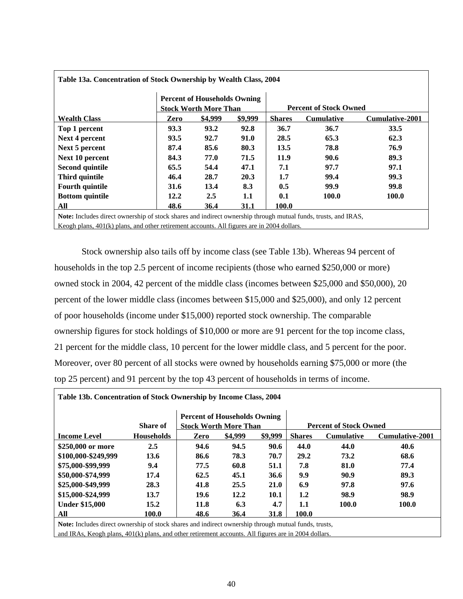| Table 13a. Concentration of Stock Ownership by Wealth Class, 2004                                                     |                                                                     |         |         |                               |                   |                        |  |  |
|-----------------------------------------------------------------------------------------------------------------------|---------------------------------------------------------------------|---------|---------|-------------------------------|-------------------|------------------------|--|--|
|                                                                                                                       | <b>Percent of Households Owning</b><br><b>Stock Worth More Than</b> |         |         | <b>Percent of Stock Owned</b> |                   |                        |  |  |
| <b>Wealth Class</b>                                                                                                   | Zero                                                                | \$4,999 | \$9,999 | <b>Shares</b>                 | <b>Cumulative</b> | <b>Cumulative-2001</b> |  |  |
| Top 1 percent                                                                                                         | 93.3                                                                | 93.2    | 92.8    | 36.7                          | 36.7              | 33.5                   |  |  |
| <b>Next 4 percent</b>                                                                                                 | 93.5                                                                | 92.7    | 91.0    | 28.5                          | 65.3              | 62.3                   |  |  |
| Next 5 percent                                                                                                        | 87.4                                                                | 85.6    | 80.3    | 13.5                          | 78.8              | 76.9                   |  |  |
| Next 10 percent                                                                                                       | 84.3                                                                | 77.0    | 71.5    | 11.9                          | 90.6              | 89.3                   |  |  |
| <b>Second quintile</b>                                                                                                | 65.5                                                                | 54.4    | 47.1    | 7.1                           | 97.7              | 97.1                   |  |  |
| Third quintile                                                                                                        | 46.4                                                                | 28.7    | 20.3    | 1.7                           | 99.4              | 99.3                   |  |  |
| <b>Fourth quintile</b>                                                                                                | 31.6                                                                | 13.4    | 8.3     | 0.5                           | 99.9              | 99.8                   |  |  |
| <b>Bottom quintile</b>                                                                                                | 12.2                                                                | 2.5     | 1.1     | 0.1                           | 100.0             | 100.0                  |  |  |
| All                                                                                                                   | 48.6                                                                | 36.4    | 31.1    | 100.0                         |                   |                        |  |  |
| <b>Note:</b> Includes direct ownership of stock shares and indirect ownership through mutual funds, trusts, and IRAS, |                                                                     |         |         |                               |                   |                        |  |  |
| Keogh plans, $401(k)$ plans, and other retirement accounts. All figures are in 2004 dollars.                          |                                                                     |         |         |                               |                   |                        |  |  |

 Stock ownership also tails off by income class (see Table 13b). Whereas 94 percent of households in the top 2.5 percent of income recipients (those who earned \$250,000 or more) owned stock in 2004, 42 percent of the middle class (incomes between \$25,000 and \$50,000), 20 percent of the lower middle class (incomes between \$15,000 and \$25,000), and only 12 percent of poor households (income under \$15,000) reported stock ownership. The comparable ownership figures for stock holdings of \$10,000 or more are 91 percent for the top income class, 21 percent for the middle class, 10 percent for the lower middle class, and 5 percent for the poor. Moreover, over 80 percent of all stocks were owned by households earning \$75,000 or more (the top 25 percent) and 91 percent by the top 43 percent of households in terms of income.

| Table 13b. Concentration of Stock Ownership by Income Class, 2004                                      |                   |                                     |         |             |               |                               |                        |  |  |
|--------------------------------------------------------------------------------------------------------|-------------------|-------------------------------------|---------|-------------|---------------|-------------------------------|------------------------|--|--|
|                                                                                                        | <b>Share of</b>   | <b>Percent of Households Owning</b> |         |             |               | <b>Percent of Stock Owned</b> |                        |  |  |
|                                                                                                        |                   | <b>Stock Worth More Than</b>        |         |             |               |                               |                        |  |  |
| <b>Income Level</b>                                                                                    | <b>Households</b> | Zero                                | \$4,999 | \$9,999     | <b>Shares</b> | <b>Cumulative</b>             | <b>Cumulative-2001</b> |  |  |
| \$250,000 or more                                                                                      | 2.5               | 94.6                                | 94.5    | 90.6        | 44.0          | 44.0                          | 40.6                   |  |  |
| \$100,000-\$249,999                                                                                    | 13.6              | 86.6                                | 78.3    | 70.7        | 29.2          | 73.2                          | 68.6                   |  |  |
| \$75,000-\$99,999                                                                                      | 9.4               | 77.5                                | 60.8    | 51.1        | 7.8           | 81.0                          | 77.4                   |  |  |
| \$50,000-\$74,999                                                                                      | 17.4              | 62.5                                | 45.1    | 36.6        | 9.9           | 90.9                          | 89.3                   |  |  |
| \$25,000-\$49,999                                                                                      | 28.3              | 41.8                                | 25.5    | <b>21.0</b> | 6.9           | 97.8                          | 97.6                   |  |  |
| \$15,000-\$24,999                                                                                      | 13.7              | 19.6                                | 12.2    | 10.1        | 1.2           | 98.9                          | 98.9                   |  |  |
| <b>Under \$15,000</b>                                                                                  | 15.2              | 11.8                                | 6.3     | 4.7         | 1.1           | 100.0                         | 100.0                  |  |  |
| All                                                                                                    | 100.0             | 48.6                                | 36.4    | 31.8        | 100.0         |                               |                        |  |  |
| Note: Includes direct ownership of stock shares and indirect ownership through mutual funds, trusts,   |                   |                                     |         |             |               |                               |                        |  |  |
| and IRAs, Keogh plans, $401(k)$ plans, and other retirement accounts. All figures are in 2004 dollars. |                   |                                     |         |             |               |                               |                        |  |  |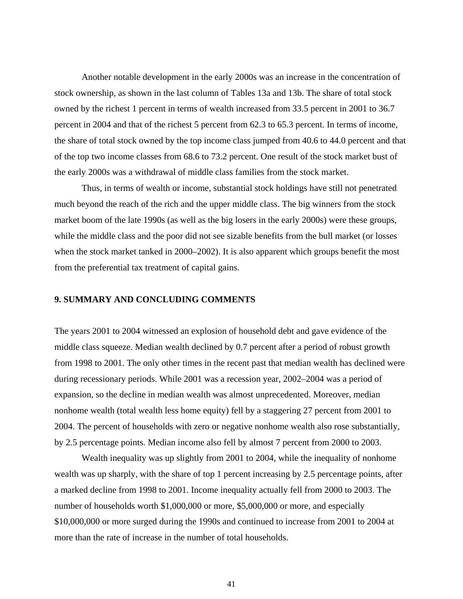Another notable development in the early 2000s was an increase in the concentration of stock ownership, as shown in the last column of Tables 13a and 13b. The share of total stock owned by the richest 1 percent in terms of wealth increased from 33.5 percent in 2001 to 36.7 percent in 2004 and that of the richest 5 percent from 62.3 to 65.3 percent. In terms of income, the share of total stock owned by the top income class jumped from 40.6 to 44.0 percent and that of the top two income classes from 68.6 to 73.2 percent. One result of the stock market bust of the early 2000s was a withdrawal of middle class families from the stock market.

 Thus, in terms of wealth or income, substantial stock holdings have still not penetrated much beyond the reach of the rich and the upper middle class. The big winners from the stock market boom of the late 1990s (as well as the big losers in the early 2000s) were these groups, while the middle class and the poor did not see sizable benefits from the bull market (or losses when the stock market tanked in 2000–2002). It is also apparent which groups benefit the most from the preferential tax treatment of capital gains.

# **9. SUMMARY AND CONCLUDING COMMENTS**

The years 2001 to 2004 witnessed an explosion of household debt and gave evidence of the middle class squeeze. Median wealth declined by 0.7 percent after a period of robust growth from 1998 to 2001. The only other times in the recent past that median wealth has declined were during recessionary periods. While 2001 was a recession year, 2002–2004 was a period of expansion, so the decline in median wealth was almost unprecedented. Moreover, median nonhome wealth (total wealth less home equity) fell by a staggering 27 percent from 2001 to 2004. The percent of households with zero or negative nonhome wealth also rose substantially, by 2.5 percentage points. Median income also fell by almost 7 percent from 2000 to 2003.

Wealth inequality was up slightly from 2001 to 2004, while the inequality of nonhome wealth was up sharply, with the share of top 1 percent increasing by 2.5 percentage points, after a marked decline from 1998 to 2001. Income inequality actually fell from 2000 to 2003. The number of households worth \$1,000,000 or more, \$5,000,000 or more, and especially \$10,000,000 or more surged during the 1990s and continued to increase from 2001 to 2004 at more than the rate of increase in the number of total households.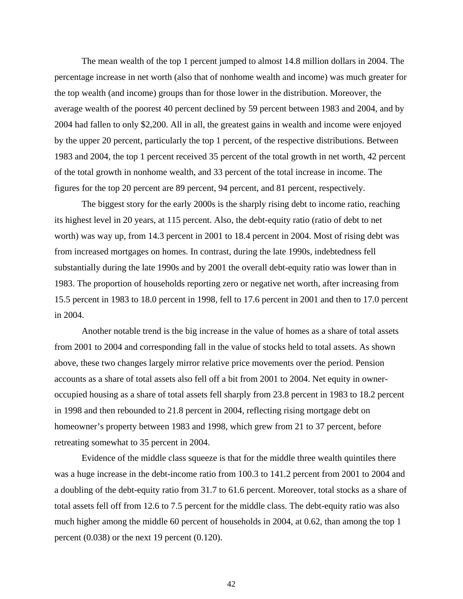The mean wealth of the top 1 percent jumped to almost 14.8 million dollars in 2004. The percentage increase in net worth (also that of nonhome wealth and income) was much greater for the top wealth (and income) groups than for those lower in the distribution. Moreover, the average wealth of the poorest 40 percent declined by 59 percent between 1983 and 2004, and by 2004 had fallen to only \$2,200. All in all, the greatest gains in wealth and income were enjoyed by the upper 20 percent, particularly the top 1 percent, of the respective distributions. Between 1983 and 2004, the top 1 percent received 35 percent of the total growth in net worth, 42 percent of the total growth in nonhome wealth, and 33 percent of the total increase in income. The figures for the top 20 percent are 89 percent, 94 percent, and 81 percent, respectively.

The biggest story for the early 2000s is the sharply rising debt to income ratio, reaching its highest level in 20 years, at 115 percent. Also, the debt-equity ratio (ratio of debt to net worth) was way up, from 14.3 percent in 2001 to 18.4 percent in 2004. Most of rising debt was from increased mortgages on homes. In contrast, during the late 1990s, indebtedness fell substantially during the late 1990s and by 2001 the overall debt-equity ratio was lower than in 1983. The proportion of households reporting zero or negative net worth, after increasing from 15.5 percent in 1983 to 18.0 percent in 1998, fell to 17.6 percent in 2001 and then to 17.0 percent in 2004.

Another notable trend is the big increase in the value of homes as a share of total assets from 2001 to 2004 and corresponding fall in the value of stocks held to total assets. As shown above, these two changes largely mirror relative price movements over the period. Pension accounts as a share of total assets also fell off a bit from 2001 to 2004. Net equity in owneroccupied housing as a share of total assets fell sharply from 23.8 percent in 1983 to 18.2 percent in 1998 and then rebounded to 21.8 percent in 2004, reflecting rising mortgage debt on homeowner's property between 1983 and 1998, which grew from 21 to 37 percent, before retreating somewhat to 35 percent in 2004.

Evidence of the middle class squeeze is that for the middle three wealth quintiles there was a huge increase in the debt-income ratio from 100.3 to 141.2 percent from 2001 to 2004 and a doubling of the debt-equity ratio from 31.7 to 61.6 percent. Moreover, total stocks as a share of total assets fell off from 12.6 to 7.5 percent for the middle class. The debt-equity ratio was also much higher among the middle 60 percent of households in 2004, at 0.62, than among the top 1 percent (0.038) or the next 19 percent (0.120).

42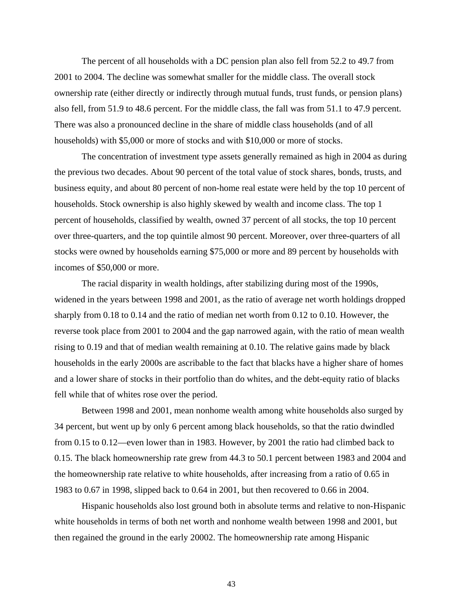The percent of all households with a DC pension plan also fell from 52.2 to 49.7 from 2001 to 2004. The decline was somewhat smaller for the middle class. The overall stock ownership rate (either directly or indirectly through mutual funds, trust funds, or pension plans) also fell, from 51.9 to 48.6 percent. For the middle class, the fall was from 51.1 to 47.9 percent. There was also a pronounced decline in the share of middle class households (and of all households) with \$5,000 or more of stocks and with \$10,000 or more of stocks.

The concentration of investment type assets generally remained as high in 2004 as during the previous two decades. About 90 percent of the total value of stock shares, bonds, trusts, and business equity, and about 80 percent of non-home real estate were held by the top 10 percent of households. Stock ownership is also highly skewed by wealth and income class. The top 1 percent of households, classified by wealth, owned 37 percent of all stocks, the top 10 percent over three-quarters, and the top quintile almost 90 percent. Moreover, over three-quarters of all stocks were owned by households earning \$75,000 or more and 89 percent by households with incomes of \$50,000 or more.

The racial disparity in wealth holdings, after stabilizing during most of the 1990s, widened in the years between 1998 and 2001, as the ratio of average net worth holdings dropped sharply from 0.18 to 0.14 and the ratio of median net worth from 0.12 to 0.10. However, the reverse took place from 2001 to 2004 and the gap narrowed again, with the ratio of mean wealth rising to 0.19 and that of median wealth remaining at 0.10. The relative gains made by black households in the early 2000s are ascribable to the fact that blacks have a higher share of homes and a lower share of stocks in their portfolio than do whites, and the debt-equity ratio of blacks fell while that of whites rose over the period.

Between 1998 and 2001, mean nonhome wealth among white households also surged by 34 percent, but went up by only 6 percent among black households, so that the ratio dwindled from 0.15 to 0.12—even lower than in 1983. However, by 2001 the ratio had climbed back to 0.15. The black homeownership rate grew from 44.3 to 50.1 percent between 1983 and 2004 and the homeownership rate relative to white households, after increasing from a ratio of 0.65 in 1983 to 0.67 in 1998, slipped back to 0.64 in 2001, but then recovered to 0.66 in 2004.

 Hispanic households also lost ground both in absolute terms and relative to non-Hispanic white households in terms of both net worth and nonhome wealth between 1998 and 2001, but then regained the ground in the early 20002. The homeownership rate among Hispanic

43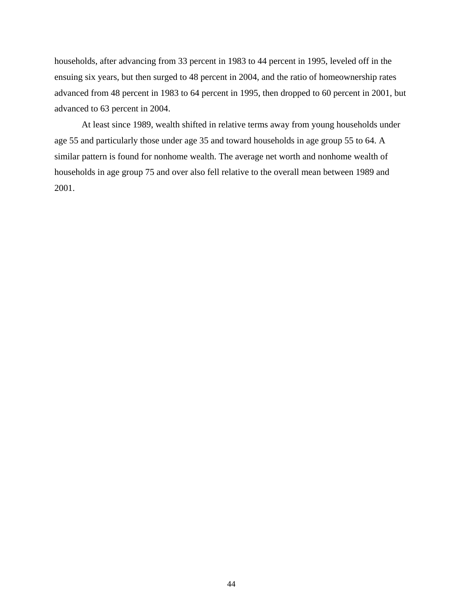households, after advancing from 33 percent in 1983 to 44 percent in 1995, leveled off in the ensuing six years, but then surged to 48 percent in 2004, and the ratio of homeownership rates advanced from 48 percent in 1983 to 64 percent in 1995, then dropped to 60 percent in 2001, but advanced to 63 percent in 2004.

 At least since 1989, wealth shifted in relative terms away from young households under age 55 and particularly those under age 35 and toward households in age group 55 to 64. A similar pattern is found for nonhome wealth. The average net worth and nonhome wealth of households in age group 75 and over also fell relative to the overall mean between 1989 and 2001.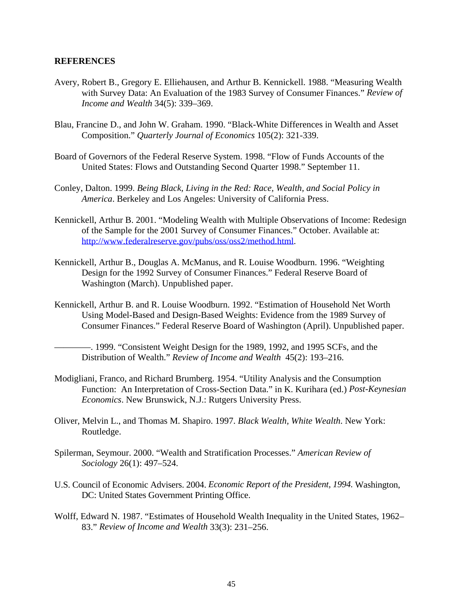#### **REFERENCES**

- Avery, Robert B., Gregory E. Elliehausen, and Arthur B. Kennickell. 1988. "Measuring Wealth with Survey Data: An Evaluation of the 1983 Survey of Consumer Finances." *Review of Income and Wealth* 34(5): 339–369.
- Blau, Francine D., and John W. Graham. 1990. "Black-White Differences in Wealth and Asset Composition." *Quarterly Journal of Economics* 105(2): 321-339.
- Board of Governors of the Federal Reserve System. 1998. "Flow of Funds Accounts of the United States: Flows and Outstanding Second Quarter 1998." September 11.
- Conley, Dalton. 1999. *Being Black, Living in the Red: Race, Wealth, and Social Policy in America*. Berkeley and Los Angeles: University of California Press.
- Kennickell, Arthur B. 2001. "Modeling Wealth with Multiple Observations of Income: Redesign of the Sample for the 2001 Survey of Consumer Finances." October. Available at: http://www.federalreserve.gov/pubs/oss/oss2/method.html.
- Kennickell, Arthur B., Douglas A. McManus, and R. Louise Woodburn. 1996. "Weighting Design for the 1992 Survey of Consumer Finances." Federal Reserve Board of Washington (March). Unpublished paper.
- Kennickell, Arthur B. and R. Louise Woodburn. 1992. "Estimation of Household Net Worth Using Model-Based and Design-Based Weights: Evidence from the 1989 Survey of Consumer Finances." Federal Reserve Board of Washington (April). Unpublished paper.

————. 1999. "Consistent Weight Design for the 1989, 1992, and 1995 SCFs, and the Distribution of Wealth." *Review of Income and Wealth* 45(2): 193–216.

- Modigliani, Franco, and Richard Brumberg. 1954. "Utility Analysis and the Consumption Function: An Interpretation of Cross-Section Data." in K. Kurihara (ed.) *Post-Keynesian Economics*. New Brunswick, N.J.: Rutgers University Press.
- Oliver, Melvin L., and Thomas M. Shapiro. 1997. *Black Wealth, White Wealth*. New York: Routledge.
- Spilerman, Seymour. 2000. "Wealth and Stratification Processes." *American Review of Sociology* 26(1): 497–524.
- U.S. Council of Economic Advisers. 2004. *Economic Report of the President, 1994.* Washington, DC: United States Government Printing Office.
- Wolff, Edward N. 1987. "Estimates of Household Wealth Inequality in the United States, 1962– 83." *Review of Income and Wealth* 33(3): 231–256.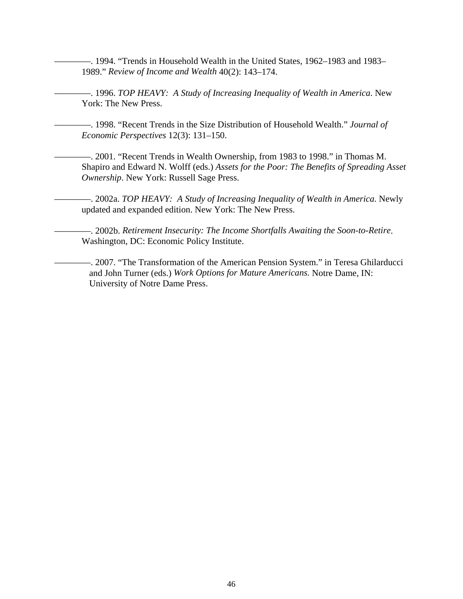-. 1994. "Trends in Household Wealth in the United States, 1962–1983 and 1983– 1989." *Review of Income and Wealth* 40(2): 143–174.

————. 1996. *TOP HEAVY: A Study of Increasing Inequality of Wealth in America*. New York: The New Press.

————. 1998. "Recent Trends in the Size Distribution of Household Wealth." *Journal of Economic Perspectives* 12(3): 131–150.

————. 2001. "Recent Trends in Wealth Ownership, from 1983 to 1998." in Thomas M. Shapiro and Edward N. Wolff (eds.) *Assets for the Poor: The Benefits of Spreading Asset Ownership*. New York: Russell Sage Press.

————. 2002a. *TOP HEAVY: A Study of Increasing Inequality of Wealth in America.* Newly updated and expanded edition. New York: The New Press.

————. 2002b. *Retirement Insecurity: The Income Shortfalls Awaiting the Soon-to-Retire*. Washington, DC: Economic Policy Institute.

————. 2007. "The Transformation of the American Pension System." in Teresa Ghilarducci and John Turner (eds.) *Work Options for Mature Americans.* Notre Dame, IN: University of Notre Dame Press.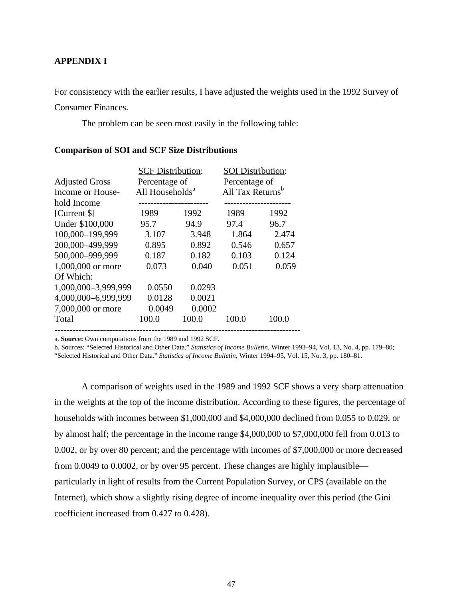### **APPENDIX I**

For consistency with the earlier results, I have adjusted the weights used in the 1992 Survey of

Consumer Finances.

The problem can be seen most easily in the following table:

|                       | <b>SCF Distribution:</b>    |        | <b>SOI</b> Distribution:     |       |  |
|-----------------------|-----------------------------|--------|------------------------------|-------|--|
| <b>Adjusted Gross</b> | Percentage of               |        | Percentage of                |       |  |
| Income or House-      | All Households <sup>a</sup> |        | All Tax Returns <sup>b</sup> |       |  |
| hold Income           |                             |        |                              |       |  |
| [Current \$]          | 1989                        | 1992   | 1989                         | 1992  |  |
| Under \$100,000       | 95.7                        | 94.9   | 97.4                         | 96.7  |  |
| 100,000-199,999       | 3.107                       | 3.948  | 1.864                        | 2.474 |  |
| 200,000-499,999       | 0.895                       | 0.892  | 0.546                        | 0.657 |  |
| 500,000-999,999       | 0.187                       | 0.182  | 0.103                        | 0.124 |  |
| 1,000,000 or more     | 0.073                       | 0.040  | 0.051                        | 0.059 |  |
| Of Which:             |                             |        |                              |       |  |
| 1,000,000-3,999,999   | 0.0550                      | 0.0293 |                              |       |  |
| 4,000,000-6,999,999   | 0.0128                      | 0.0021 |                              |       |  |
| 7,000,000 or more     | 0.0049                      | 0.0002 |                              |       |  |
| Total                 | 100.0                       | 100.0  | 100.0                        | 100.0 |  |
|                       |                             |        |                              |       |  |

#### **Comparison of SOI and SCF Size Distributions**

a. **Source:** Own computations from the 1989 and 1992 SCF.

b. Sources: "Selected Historical and Other Data." *Statistics of Income Bulletin,* Winter 1993–94, Vol. 13, No. 4, pp. 179–80; "Selected Historical and Other Data." *Statistics of Income Bulletin*, Winter 1994–95, Vol. 15, No. 3, pp. 180–81.

 A comparison of weights used in the 1989 and 1992 SCF shows a very sharp attenuation in the weights at the top of the income distribution. According to these figures, the percentage of households with incomes between \$1,000,000 and \$4,000,000 declined from 0.055 to 0.029, or by almost half; the percentage in the income range \$4,000,000 to \$7,000,000 fell from 0.013 to 0.002, or by over 80 percent; and the percentage with incomes of \$7,000,000 or more decreased from 0.0049 to 0.0002, or by over 95 percent. These changes are highly implausible particularly in light of results from the Current Population Survey, or CPS (available on the Internet), which show a slightly rising degree of income inequality over this period (the Gini coefficient increased from 0.427 to 0.428).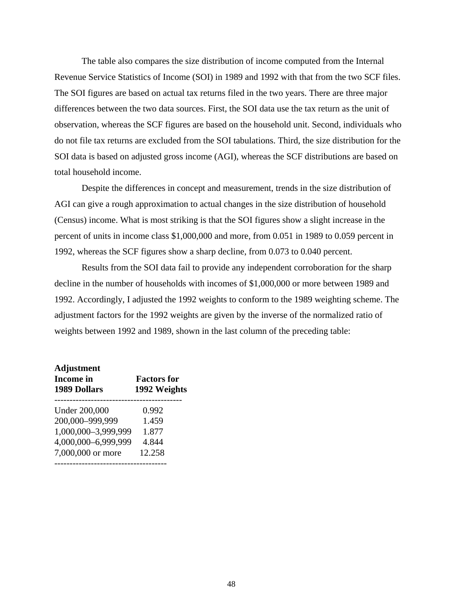The table also compares the size distribution of income computed from the Internal Revenue Service Statistics of Income (SOI) in 1989 and 1992 with that from the two SCF files. The SOI figures are based on actual tax returns filed in the two years. There are three major differences between the two data sources. First, the SOI data use the tax return as the unit of observation, whereas the SCF figures are based on the household unit. Second, individuals who do not file tax returns are excluded from the SOI tabulations. Third, the size distribution for the SOI data is based on adjusted gross income (AGI), whereas the SCF distributions are based on total household income.

 Despite the differences in concept and measurement, trends in the size distribution of AGI can give a rough approximation to actual changes in the size distribution of household (Census) income. What is most striking is that the SOI figures show a slight increase in the percent of units in income class \$1,000,000 and more, from 0.051 in 1989 to 0.059 percent in 1992, whereas the SCF figures show a sharp decline, from 0.073 to 0.040 percent.

 Results from the SOI data fail to provide any independent corroboration for the sharp decline in the number of households with incomes of \$1,000,000 or more between 1989 and 1992. Accordingly, I adjusted the 1992 weights to conform to the 1989 weighting scheme. The adjustment factors for the 1992 weights are given by the inverse of the normalized ratio of weights between 1992 and 1989, shown in the last column of the preceding table:

| <b>Adjustment</b><br><b>Income</b> in<br><b>1989 Dollars</b> | <b>Factors</b> for<br>1992 Weights |
|--------------------------------------------------------------|------------------------------------|
| <b>Under 200,000</b>                                         | 0.992                              |
| 200,000-999,999                                              | 1.459                              |
| 1,000,000-3,999,999                                          | 1.877                              |
| 4,000,000-6,999,999                                          | 4.844                              |
| 7,000,000 or more                                            | 12.258                             |
|                                                              |                                    |